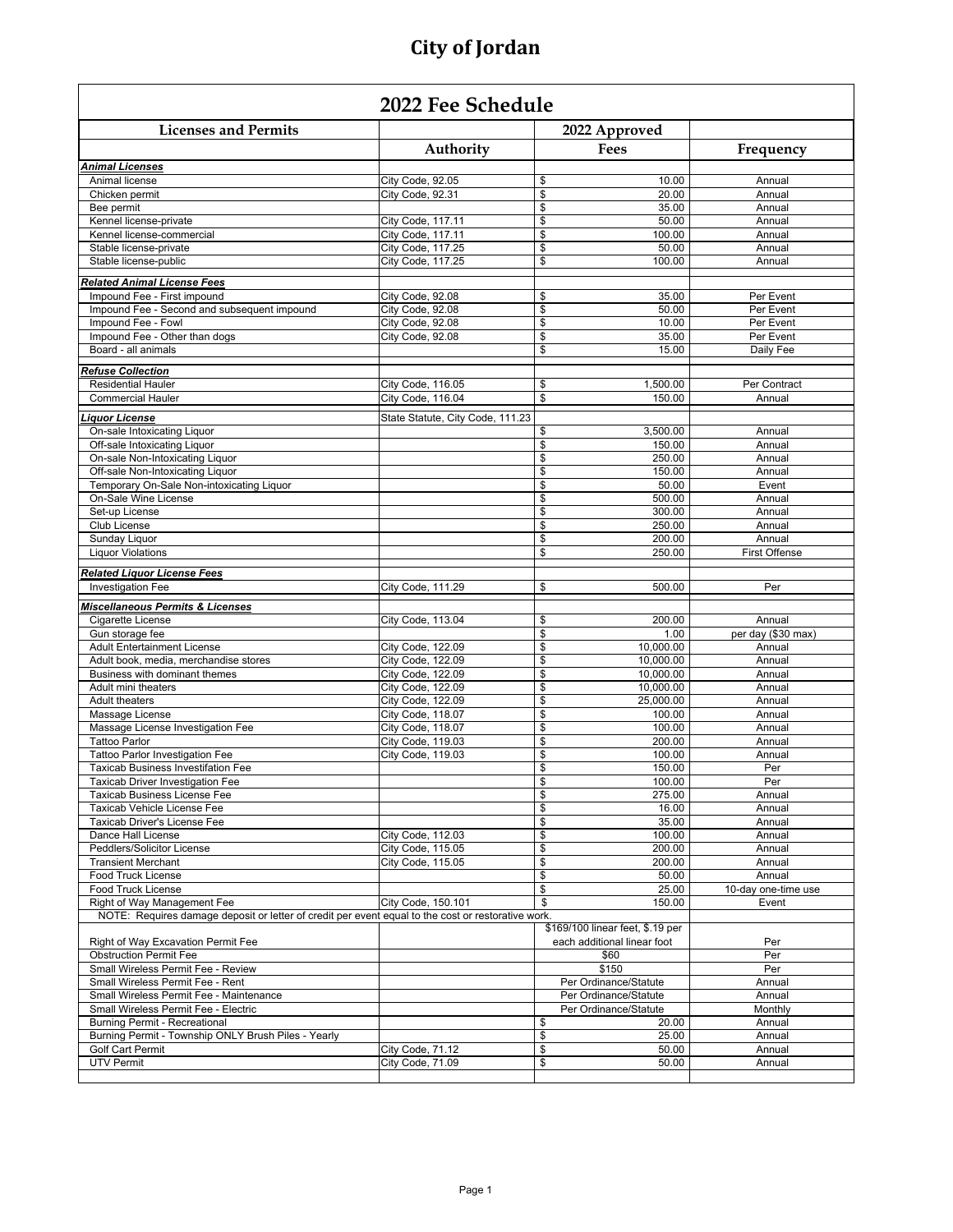$\Gamma$ 

| 2022 Fee Schedule                                                                                  |                                        |                          |                                                                 |                      |  |  |
|----------------------------------------------------------------------------------------------------|----------------------------------------|--------------------------|-----------------------------------------------------------------|----------------------|--|--|
| <b>Licenses and Permits</b>                                                                        |                                        |                          | 2022 Approved                                                   |                      |  |  |
|                                                                                                    | Authority                              |                          | Fees                                                            | Frequency            |  |  |
| <b>Animal Licenses</b>                                                                             |                                        |                          |                                                                 |                      |  |  |
| Animal license                                                                                     | City Code, 92.05                       | \$                       | 10.00                                                           | Annual               |  |  |
| Chicken permit                                                                                     | City Code, 92.31                       | \$                       | 20.00                                                           | Annual               |  |  |
| Bee permit                                                                                         |                                        | \$<br>\$                 | 35.00<br>50.00                                                  | Annual<br>Annual     |  |  |
| Kennel license-private<br>Kennel license-commercial                                                | City Code, 117.11<br>City Code, 117.11 | \$                       | 100.00                                                          | Annual               |  |  |
| Stable license-private                                                                             | City Code, 117.25                      | \$                       | 50.00                                                           | Annual               |  |  |
| Stable license-public                                                                              | City Code, 117.25                      | \$                       | 100.00                                                          | Annual               |  |  |
| <b>Related Animal License Fees</b>                                                                 |                                        |                          |                                                                 |                      |  |  |
| Impound Fee - First impound                                                                        | City Code, 92.08                       | \$                       | 35.00                                                           | Per Event            |  |  |
| Impound Fee - Second and subsequent impound                                                        | City Code, 92.08                       | \$                       | 50.00                                                           | Per Event            |  |  |
| Impound Fee - Fowl                                                                                 | City Code, 92.08                       | \$                       | 10.00                                                           | Per Event            |  |  |
| Impound Fee - Other than dogs                                                                      | City Code, 92.08                       | \$                       | 35.00                                                           | Per Event            |  |  |
| Board - all animals                                                                                |                                        | \$                       | 15.00                                                           | Daily Fee            |  |  |
| <b>Refuse Collection</b>                                                                           |                                        |                          |                                                                 |                      |  |  |
| <b>Residential Hauler</b>                                                                          | City Code, 116.05                      | \$                       | 1,500.00                                                        | Per Contract         |  |  |
| <b>Commercial Hauler</b>                                                                           | City Code, 116.04                      | \$                       | 150.00                                                          | Annual               |  |  |
| <b>Liquor License</b>                                                                              | State Statute, City Code, 111.23       |                          |                                                                 |                      |  |  |
| On-sale Intoxicating Liquor                                                                        |                                        | \$                       | 3,500.00                                                        | Annual               |  |  |
| Off-sale Intoxicating Liquor                                                                       |                                        | \$                       | 150.00                                                          | Annual               |  |  |
| On-sale Non-Intoxicating Liquor                                                                    |                                        | \$                       | 250.00                                                          | Annual               |  |  |
| Off-sale Non-Intoxicating Liquor<br>Temporary On-Sale Non-intoxicating Liquor                      |                                        | \$<br>\$                 | 150.00<br>50.00                                                 | Annual               |  |  |
| On-Sale Wine License                                                                               |                                        | \$                       | 500.00                                                          | Event<br>Annual      |  |  |
| Set-up License                                                                                     |                                        | \$                       | 300.00                                                          | Annual               |  |  |
| Club License                                                                                       |                                        | \$                       | 250.00                                                          | Annual               |  |  |
| Sunday Liquor                                                                                      |                                        | \$                       | 200.00                                                          | Annual               |  |  |
| <b>Liquor Violations</b>                                                                           |                                        | \$                       | 250.00                                                          | <b>First Offense</b> |  |  |
| <b>Related Liquor License Fees</b>                                                                 |                                        |                          |                                                                 |                      |  |  |
| Investigation Fee                                                                                  | City Code, 111.29                      | \$                       | 500.00                                                          | Per                  |  |  |
|                                                                                                    |                                        |                          |                                                                 |                      |  |  |
| <b>Miscellaneous Permits &amp; Licenses</b><br>Cigarette License                                   | City Code, 113.04                      | \$                       | 200.00                                                          | Annual               |  |  |
| Gun storage fee                                                                                    |                                        | \$                       | 1.00                                                            | per day (\$30 max)   |  |  |
| <b>Adult Entertainment License</b>                                                                 | City Code, 122.09                      | \$                       | 10,000.00                                                       | Annual               |  |  |
| Adult book, media, merchandise stores                                                              | City Code, 122.09                      | \$                       | 10,000.00                                                       | Annual               |  |  |
| Business with dominant themes                                                                      | City Code, 122.09                      | \$                       | 10,000.00                                                       | Annual               |  |  |
| Adult mini theaters                                                                                | City Code, 122.09                      | \$                       | 10,000.00                                                       | Annual               |  |  |
| <b>Adult theaters</b>                                                                              | City Code, 122.09                      | \$                       | 25,000.00                                                       | Annual               |  |  |
| Massage License<br>Massage License Investigation Fee                                               | City Code, 118.07<br>City Code, 118.07 | \$<br>\$                 | 100.00<br>100.00                                                | Annual<br>Annual     |  |  |
| <b>Tattoo Parlor</b>                                                                               | City Code, 119.03                      | \$                       | 200.00                                                          | Annual               |  |  |
| Tattoo Parlor Investigation Fee                                                                    | City Code, 119.03                      | \$                       | 100.00                                                          | Annual               |  |  |
| <b>Taxicab Business Investifation Fee</b>                                                          |                                        | \$                       | 150.00                                                          | Per                  |  |  |
| Taxicab Driver Investigation Fee                                                                   |                                        | \$                       | 100.00                                                          | Per                  |  |  |
| Taxicab Business License Fee                                                                       |                                        | \$                       | 275.00                                                          | Annual               |  |  |
| Taxicab Vehicle License Fee                                                                        |                                        | $\overline{\mathcal{S}}$ | 16.00                                                           | Annual               |  |  |
| Taxicab Driver's License Fee<br>Dance Hall License                                                 | City Code, 112.03                      | \$<br>\$                 | 35.00<br>100.00                                                 | Annual<br>Annual     |  |  |
| Peddlers/Solicitor License                                                                         | City Code, 115.05                      | \$                       | 200.00                                                          | Annual               |  |  |
| <b>Transient Merchant</b>                                                                          | City Code, 115.05                      | \$                       | 200.00                                                          | Annual               |  |  |
| <b>Food Truck License</b>                                                                          |                                        | \$                       | 50.00                                                           | Annual               |  |  |
| <b>Food Truck License</b>                                                                          |                                        | \$                       | 25.00                                                           | 10-day one-time use  |  |  |
| Right of Way Management Fee                                                                        | City Code, 150.101                     | \$                       | 150.00                                                          | Event                |  |  |
| NOTE: Requires damage deposit or letter of credit per event equal to the cost or restorative work. |                                        |                          |                                                                 |                      |  |  |
|                                                                                                    |                                        |                          | \$169/100 linear feet, \$.19 per<br>each additional linear foot |                      |  |  |
| Right of Way Excavation Permit Fee<br><b>Obstruction Permit Fee</b>                                |                                        |                          | \$60                                                            | Per<br>Per           |  |  |
| Small Wireless Permit Fee - Review                                                                 |                                        |                          | \$150                                                           | Per                  |  |  |
| Small Wireless Permit Fee - Rent                                                                   |                                        |                          | Per Ordinance/Statute                                           | Annual               |  |  |
| Small Wireless Permit Fee - Maintenance                                                            |                                        |                          | Per Ordinance/Statute                                           | Annual               |  |  |
| Small Wireless Permit Fee - Electric                                                               |                                        |                          | Per Ordinance/Statute                                           | Monthly              |  |  |
| <b>Burning Permit - Recreational</b>                                                               |                                        | \$                       | 20.00                                                           | Annual               |  |  |
| Burning Permit - Township ONLY Brush Piles - Yearly                                                |                                        | \$                       | 25.00                                                           | Annual               |  |  |
| Golf Cart Permit<br><b>UTV Permit</b>                                                              | City Code, 71.12<br>City Code, 71.09   | \$<br>\$                 | 50.00<br>50.00                                                  | Annual<br>Annual     |  |  |
|                                                                                                    |                                        |                          |                                                                 |                      |  |  |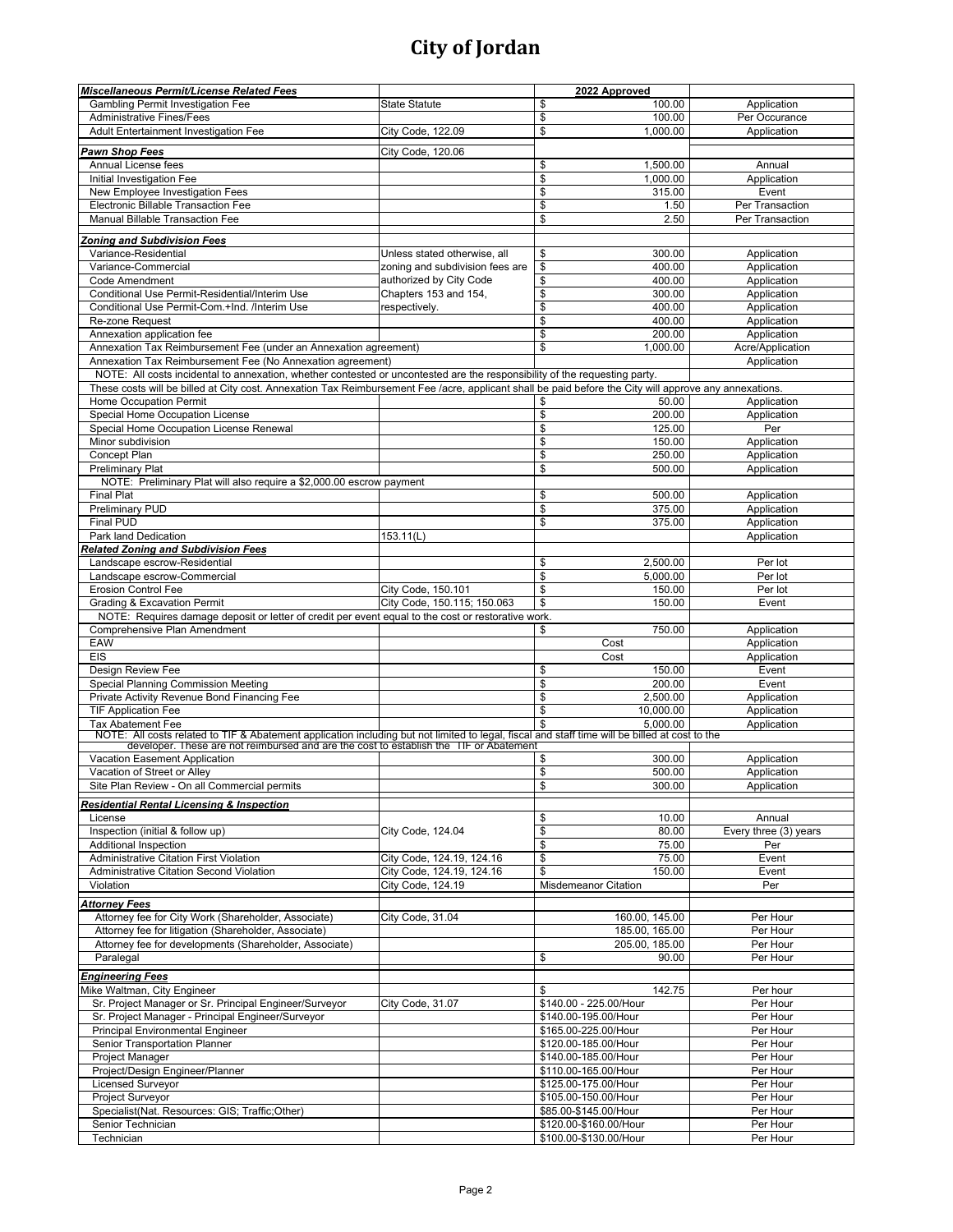| <b>Gambling Permit Investigation Fee</b><br><b>State Statute</b><br>\$<br>100.00<br>Application<br>\$<br>100.00<br><b>Administrative Fines/Fees</b><br>Per Occurance<br>\$<br>Adult Entertainment Investigation Fee<br>City Code, 122.09<br>1,000.00<br>Application<br>Pawn Shop Fees<br>City Code, 120.06<br>1,500.00<br>Annual License fees<br>\$<br>Annual<br>\$<br>Initial Investigation Fee<br>1,000.00<br>Application<br>\$<br>New Employee Investigation Fees<br>315.00<br>Event<br>\$<br>Electronic Billable Transaction Fee<br>1.50<br>Per Transaction<br>\$<br>Manual Billable Transaction Fee<br>2.50<br>Per Transaction<br><b>Zoning and Subdivision Fees</b><br>Variance-Residential<br>Unless stated otherwise, all<br>300.00<br>\$<br>Application<br>\$<br>400.00<br>Variance-Commercial<br>Application<br>zoning and subdivision fees are<br>\$<br>Code Amendment<br>authorized by City Code<br>400.00<br>Application<br>\$<br>Conditional Use Permit-Residential/Interim Use<br>Chapters 153 and 154,<br>300.00<br>Application<br>Conditional Use Permit-Com.+Ind. /Interim Use<br>\$<br>400.00<br>Application<br>respectively.<br>\$<br>400.00<br>Re-zone Request<br>Application<br>\$<br>200.00<br>Annexation application fee<br>Application<br>Annexation Tax Reimbursement Fee (under an Annexation agreement)<br>\$<br>1,000.00<br>Acre/Application<br>Annexation Tax Reimbursement Fee (No Annexation agreement)<br>Application<br>NOTE: All costs incidental to annexation, whether contested or uncontested are the responsibility of the requesting party.<br>These costs will be billed at City cost. Annexation Tax Reimbursement Fee /acre, applicant shall be paid before the City will approve any annexations.<br><b>Home Occupation Permit</b><br>\$<br>50.00<br>Application<br>\$<br>Special Home Occupation License<br>200.00<br>Application<br>\$<br>125.00<br>Special Home Occupation License Renewal<br>Per<br>\$<br>Minor subdivision<br>150.00<br>Application<br>\$<br>250.00<br>Concept Plan<br>Application<br>\$<br><b>Preliminary Plat</b><br>500.00<br>Application<br>NOTE: Preliminary Plat will also require a \$2,000.00 escrow payment<br>\$<br><b>Final Plat</b><br>500.00<br>Application<br>Preliminary PUD<br>\$<br>375.00<br>Application<br>Final PUD<br>\$<br>375.00<br>Application<br>Park land Dedication<br>153.11(L)<br>Application<br><b>Related Zoning and Subdivision Fees</b><br>2,500.00<br>Landscape escrow-Residential<br>\$<br>Per lot<br>\$<br>5,000.00<br>Landscape escrow-Commercial<br>Per lot<br><b>Erosion Control Fee</b><br>\$<br>City Code, 150.101<br>150.00<br>Per lot<br>\$<br>150.00<br><b>Grading &amp; Excavation Permit</b><br>City Code, 150.115; 150.063<br>Event<br>NOTE: Requires damage deposit or letter of credit per event equal to the cost or restorative work.<br>Comprehensive Plan Amendment<br>\$<br>750.00<br>Application<br>EAW<br>Cost<br>Application<br><b>EIS</b><br>Cost<br>Application<br>\$<br>150.00<br>Design Review Fee<br>Event<br>Special Planning Commission Meeting<br>\$<br>200.00<br>Event<br>\$<br>Private Activity Revenue Bond Financing Fee<br>2,500.00<br>Application<br>\$<br><b>TIF Application Fee</b><br>10,000.00<br>Application<br>\$<br>5,000.00<br><b>Tax Abatement Fee</b><br>Application<br>NOTE: All costs related to TIF & Abatement application including but not limited to legal, fiscal and staff time will be billed at cost to the developer. These are not reimbursed and are the cost to establish the TIF or Ab<br><b>Vacation Easement Application</b><br>\$<br>300.00<br>Application<br>\$<br>500.00<br>Vacation of Street or Alley<br>Application<br>Site Plan Review - On all Commercial permits<br>\$<br>300.00<br>Application<br>Residential Rental Licensing & Inspection<br>10.00<br>\$<br>Annual<br>License<br>\$<br>City Code, 124.04<br>Inspection (initial & follow up)<br>80.00<br>Every three (3) years<br>\$<br><b>Additional Inspection</b><br>75.00<br>Per<br>\$<br>Administrative Citation First Violation<br>75.00<br>City Code, 124.19, 124.16<br>Event<br>\$<br>Administrative Citation Second Violation<br>City Code, 124.19, 124.16<br>150.00<br>Event<br>City Code, 124.19<br>Violation<br><b>Misdemeanor Citation</b><br>Per<br><b>Attorney Fees</b><br>Attorney fee for City Work (Shareholder, Associate)<br>City Code, 31.04<br>160.00, 145.00<br>Per Hour<br>185.00, 165.00<br>Per Hour<br>Attorney fee for litigation (Shareholder, Associate)<br>Attorney fee for developments (Shareholder, Associate)<br>205.00, 185.00<br>Per Hour<br>\$<br>Per Hour<br>Paralegal<br>90.00<br><b>Engineering Fees</b><br>Mike Waltman, City Engineer<br>\$<br>142.75<br>Per hour<br>Sr. Project Manager or Sr. Principal Engineer/Surveyor<br>\$140.00 - 225.00/Hour<br>City Code, 31.07<br>Per Hour<br>Per Hour<br>Sr. Project Manager - Principal Engineer/Surveyor<br>\$140.00-195.00/Hour<br><b>Principal Environmental Engineer</b><br>\$165.00-225.00/Hour<br>Per Hour<br>\$120.00-185.00/Hour<br>Senior Transportation Planner<br>Per Hour<br>Project Manager<br>\$140.00-185.00/Hour<br>Per Hour<br>Project/Design Engineer/Planner<br>Per Hour<br>\$110.00-165.00/Hour<br><b>Licensed Surveyor</b><br>\$125.00-175.00/Hour<br>Per Hour<br>Project Surveyor<br>\$105.00-150.00/Hour<br>Per Hour<br>Specialist(Nat. Resources: GIS; Traffic;Other)<br>\$85.00-\$145.00/Hour<br>Per Hour<br>Senior Technician<br>\$120.00-\$160.00/Hour<br>Per Hour<br>Technician | Miscellaneous Permit/License Related Fees | 2022 Approved          |          |
|-------------------------------------------------------------------------------------------------------------------------------------------------------------------------------------------------------------------------------------------------------------------------------------------------------------------------------------------------------------------------------------------------------------------------------------------------------------------------------------------------------------------------------------------------------------------------------------------------------------------------------------------------------------------------------------------------------------------------------------------------------------------------------------------------------------------------------------------------------------------------------------------------------------------------------------------------------------------------------------------------------------------------------------------------------------------------------------------------------------------------------------------------------------------------------------------------------------------------------------------------------------------------------------------------------------------------------------------------------------------------------------------------------------------------------------------------------------------------------------------------------------------------------------------------------------------------------------------------------------------------------------------------------------------------------------------------------------------------------------------------------------------------------------------------------------------------------------------------------------------------------------------------------------------------------------------------------------------------------------------------------------------------------------------------------------------------------------------------------------------------------------------------------------------------------------------------------------------------------------------------------------------------------------------------------------------------------------------------------------------------------------------------------------------------------------------------------------------------------------------------------------------------------------------------------------------------------------------------------------------------------------------------------------------------------------------------------------------------------------------------------------------------------------------------------------------------------------------------------------------------------------------------------------------------------------------------------------------------------------------------------------------------------------------------------------------------------------------------------------------------------------------------------------------------------------------------------------------------------------------------------------------------------------------------------------------------------------------------------------------------------------------------------------------------------------------------------------------------------------------------------------------------------------------------------------------------------------------------------------------------------------------------------------------------------------------------------------------------------------------------------------------------------------------------------------------------------------------------------------------------------------------------------------------------------------------------------------------------------------------------------------------------------------------------------------------------------------------------------------------------------------------------------------------------------------------------------------------------------------------------------------------------------------------------------------------------------------------------------------------------------------------------------------------------------------------------------------------------------------------------------------------------------------------------------------------------------------------------------------------------------------------------------------------------------------------------------------------------------------------------------------------------------------------------------------------------------------------------------------------------------------------------------------------------------------------------------------------------------------------------------------------------------------------------------------------------------------------------------------------------------------------------------------------------------------------------------------------------------------------------------------------------------------------------------------------------------------------------------------------------------------------------------------------------------------------------------------------------------------------------------------------------------------|-------------------------------------------|------------------------|----------|
|                                                                                                                                                                                                                                                                                                                                                                                                                                                                                                                                                                                                                                                                                                                                                                                                                                                                                                                                                                                                                                                                                                                                                                                                                                                                                                                                                                                                                                                                                                                                                                                                                                                                                                                                                                                                                                                                                                                                                                                                                                                                                                                                                                                                                                                                                                                                                                                                                                                                                                                                                                                                                                                                                                                                                                                                                                                                                                                                                                                                                                                                                                                                                                                                                                                                                                                                                                                                                                                                                                                                                                                                                                                                                                                                                                                                                                                                                                                                                                                                                                                                                                                                                                                                                                                                                                                                                                                                                                                                                                                                                                                                                                                                                                                                                                                                                                                                                                                                                                                                                                                                                                                                                                                                                                                                                                                                                                                                                                                                                                                                     |                                           |                        |          |
|                                                                                                                                                                                                                                                                                                                                                                                                                                                                                                                                                                                                                                                                                                                                                                                                                                                                                                                                                                                                                                                                                                                                                                                                                                                                                                                                                                                                                                                                                                                                                                                                                                                                                                                                                                                                                                                                                                                                                                                                                                                                                                                                                                                                                                                                                                                                                                                                                                                                                                                                                                                                                                                                                                                                                                                                                                                                                                                                                                                                                                                                                                                                                                                                                                                                                                                                                                                                                                                                                                                                                                                                                                                                                                                                                                                                                                                                                                                                                                                                                                                                                                                                                                                                                                                                                                                                                                                                                                                                                                                                                                                                                                                                                                                                                                                                                                                                                                                                                                                                                                                                                                                                                                                                                                                                                                                                                                                                                                                                                                                                     |                                           |                        |          |
|                                                                                                                                                                                                                                                                                                                                                                                                                                                                                                                                                                                                                                                                                                                                                                                                                                                                                                                                                                                                                                                                                                                                                                                                                                                                                                                                                                                                                                                                                                                                                                                                                                                                                                                                                                                                                                                                                                                                                                                                                                                                                                                                                                                                                                                                                                                                                                                                                                                                                                                                                                                                                                                                                                                                                                                                                                                                                                                                                                                                                                                                                                                                                                                                                                                                                                                                                                                                                                                                                                                                                                                                                                                                                                                                                                                                                                                                                                                                                                                                                                                                                                                                                                                                                                                                                                                                                                                                                                                                                                                                                                                                                                                                                                                                                                                                                                                                                                                                                                                                                                                                                                                                                                                                                                                                                                                                                                                                                                                                                                                                     |                                           |                        |          |
|                                                                                                                                                                                                                                                                                                                                                                                                                                                                                                                                                                                                                                                                                                                                                                                                                                                                                                                                                                                                                                                                                                                                                                                                                                                                                                                                                                                                                                                                                                                                                                                                                                                                                                                                                                                                                                                                                                                                                                                                                                                                                                                                                                                                                                                                                                                                                                                                                                                                                                                                                                                                                                                                                                                                                                                                                                                                                                                                                                                                                                                                                                                                                                                                                                                                                                                                                                                                                                                                                                                                                                                                                                                                                                                                                                                                                                                                                                                                                                                                                                                                                                                                                                                                                                                                                                                                                                                                                                                                                                                                                                                                                                                                                                                                                                                                                                                                                                                                                                                                                                                                                                                                                                                                                                                                                                                                                                                                                                                                                                                                     |                                           |                        |          |
|                                                                                                                                                                                                                                                                                                                                                                                                                                                                                                                                                                                                                                                                                                                                                                                                                                                                                                                                                                                                                                                                                                                                                                                                                                                                                                                                                                                                                                                                                                                                                                                                                                                                                                                                                                                                                                                                                                                                                                                                                                                                                                                                                                                                                                                                                                                                                                                                                                                                                                                                                                                                                                                                                                                                                                                                                                                                                                                                                                                                                                                                                                                                                                                                                                                                                                                                                                                                                                                                                                                                                                                                                                                                                                                                                                                                                                                                                                                                                                                                                                                                                                                                                                                                                                                                                                                                                                                                                                                                                                                                                                                                                                                                                                                                                                                                                                                                                                                                                                                                                                                                                                                                                                                                                                                                                                                                                                                                                                                                                                                                     |                                           |                        |          |
|                                                                                                                                                                                                                                                                                                                                                                                                                                                                                                                                                                                                                                                                                                                                                                                                                                                                                                                                                                                                                                                                                                                                                                                                                                                                                                                                                                                                                                                                                                                                                                                                                                                                                                                                                                                                                                                                                                                                                                                                                                                                                                                                                                                                                                                                                                                                                                                                                                                                                                                                                                                                                                                                                                                                                                                                                                                                                                                                                                                                                                                                                                                                                                                                                                                                                                                                                                                                                                                                                                                                                                                                                                                                                                                                                                                                                                                                                                                                                                                                                                                                                                                                                                                                                                                                                                                                                                                                                                                                                                                                                                                                                                                                                                                                                                                                                                                                                                                                                                                                                                                                                                                                                                                                                                                                                                                                                                                                                                                                                                                                     |                                           |                        |          |
|                                                                                                                                                                                                                                                                                                                                                                                                                                                                                                                                                                                                                                                                                                                                                                                                                                                                                                                                                                                                                                                                                                                                                                                                                                                                                                                                                                                                                                                                                                                                                                                                                                                                                                                                                                                                                                                                                                                                                                                                                                                                                                                                                                                                                                                                                                                                                                                                                                                                                                                                                                                                                                                                                                                                                                                                                                                                                                                                                                                                                                                                                                                                                                                                                                                                                                                                                                                                                                                                                                                                                                                                                                                                                                                                                                                                                                                                                                                                                                                                                                                                                                                                                                                                                                                                                                                                                                                                                                                                                                                                                                                                                                                                                                                                                                                                                                                                                                                                                                                                                                                                                                                                                                                                                                                                                                                                                                                                                                                                                                                                     |                                           |                        |          |
|                                                                                                                                                                                                                                                                                                                                                                                                                                                                                                                                                                                                                                                                                                                                                                                                                                                                                                                                                                                                                                                                                                                                                                                                                                                                                                                                                                                                                                                                                                                                                                                                                                                                                                                                                                                                                                                                                                                                                                                                                                                                                                                                                                                                                                                                                                                                                                                                                                                                                                                                                                                                                                                                                                                                                                                                                                                                                                                                                                                                                                                                                                                                                                                                                                                                                                                                                                                                                                                                                                                                                                                                                                                                                                                                                                                                                                                                                                                                                                                                                                                                                                                                                                                                                                                                                                                                                                                                                                                                                                                                                                                                                                                                                                                                                                                                                                                                                                                                                                                                                                                                                                                                                                                                                                                                                                                                                                                                                                                                                                                                     |                                           |                        |          |
|                                                                                                                                                                                                                                                                                                                                                                                                                                                                                                                                                                                                                                                                                                                                                                                                                                                                                                                                                                                                                                                                                                                                                                                                                                                                                                                                                                                                                                                                                                                                                                                                                                                                                                                                                                                                                                                                                                                                                                                                                                                                                                                                                                                                                                                                                                                                                                                                                                                                                                                                                                                                                                                                                                                                                                                                                                                                                                                                                                                                                                                                                                                                                                                                                                                                                                                                                                                                                                                                                                                                                                                                                                                                                                                                                                                                                                                                                                                                                                                                                                                                                                                                                                                                                                                                                                                                                                                                                                                                                                                                                                                                                                                                                                                                                                                                                                                                                                                                                                                                                                                                                                                                                                                                                                                                                                                                                                                                                                                                                                                                     |                                           |                        |          |
|                                                                                                                                                                                                                                                                                                                                                                                                                                                                                                                                                                                                                                                                                                                                                                                                                                                                                                                                                                                                                                                                                                                                                                                                                                                                                                                                                                                                                                                                                                                                                                                                                                                                                                                                                                                                                                                                                                                                                                                                                                                                                                                                                                                                                                                                                                                                                                                                                                                                                                                                                                                                                                                                                                                                                                                                                                                                                                                                                                                                                                                                                                                                                                                                                                                                                                                                                                                                                                                                                                                                                                                                                                                                                                                                                                                                                                                                                                                                                                                                                                                                                                                                                                                                                                                                                                                                                                                                                                                                                                                                                                                                                                                                                                                                                                                                                                                                                                                                                                                                                                                                                                                                                                                                                                                                                                                                                                                                                                                                                                                                     |                                           |                        |          |
|                                                                                                                                                                                                                                                                                                                                                                                                                                                                                                                                                                                                                                                                                                                                                                                                                                                                                                                                                                                                                                                                                                                                                                                                                                                                                                                                                                                                                                                                                                                                                                                                                                                                                                                                                                                                                                                                                                                                                                                                                                                                                                                                                                                                                                                                                                                                                                                                                                                                                                                                                                                                                                                                                                                                                                                                                                                                                                                                                                                                                                                                                                                                                                                                                                                                                                                                                                                                                                                                                                                                                                                                                                                                                                                                                                                                                                                                                                                                                                                                                                                                                                                                                                                                                                                                                                                                                                                                                                                                                                                                                                                                                                                                                                                                                                                                                                                                                                                                                                                                                                                                                                                                                                                                                                                                                                                                                                                                                                                                                                                                     |                                           |                        |          |
|                                                                                                                                                                                                                                                                                                                                                                                                                                                                                                                                                                                                                                                                                                                                                                                                                                                                                                                                                                                                                                                                                                                                                                                                                                                                                                                                                                                                                                                                                                                                                                                                                                                                                                                                                                                                                                                                                                                                                                                                                                                                                                                                                                                                                                                                                                                                                                                                                                                                                                                                                                                                                                                                                                                                                                                                                                                                                                                                                                                                                                                                                                                                                                                                                                                                                                                                                                                                                                                                                                                                                                                                                                                                                                                                                                                                                                                                                                                                                                                                                                                                                                                                                                                                                                                                                                                                                                                                                                                                                                                                                                                                                                                                                                                                                                                                                                                                                                                                                                                                                                                                                                                                                                                                                                                                                                                                                                                                                                                                                                                                     |                                           |                        |          |
|                                                                                                                                                                                                                                                                                                                                                                                                                                                                                                                                                                                                                                                                                                                                                                                                                                                                                                                                                                                                                                                                                                                                                                                                                                                                                                                                                                                                                                                                                                                                                                                                                                                                                                                                                                                                                                                                                                                                                                                                                                                                                                                                                                                                                                                                                                                                                                                                                                                                                                                                                                                                                                                                                                                                                                                                                                                                                                                                                                                                                                                                                                                                                                                                                                                                                                                                                                                                                                                                                                                                                                                                                                                                                                                                                                                                                                                                                                                                                                                                                                                                                                                                                                                                                                                                                                                                                                                                                                                                                                                                                                                                                                                                                                                                                                                                                                                                                                                                                                                                                                                                                                                                                                                                                                                                                                                                                                                                                                                                                                                                     |                                           |                        |          |
|                                                                                                                                                                                                                                                                                                                                                                                                                                                                                                                                                                                                                                                                                                                                                                                                                                                                                                                                                                                                                                                                                                                                                                                                                                                                                                                                                                                                                                                                                                                                                                                                                                                                                                                                                                                                                                                                                                                                                                                                                                                                                                                                                                                                                                                                                                                                                                                                                                                                                                                                                                                                                                                                                                                                                                                                                                                                                                                                                                                                                                                                                                                                                                                                                                                                                                                                                                                                                                                                                                                                                                                                                                                                                                                                                                                                                                                                                                                                                                                                                                                                                                                                                                                                                                                                                                                                                                                                                                                                                                                                                                                                                                                                                                                                                                                                                                                                                                                                                                                                                                                                                                                                                                                                                                                                                                                                                                                                                                                                                                                                     |                                           |                        |          |
|                                                                                                                                                                                                                                                                                                                                                                                                                                                                                                                                                                                                                                                                                                                                                                                                                                                                                                                                                                                                                                                                                                                                                                                                                                                                                                                                                                                                                                                                                                                                                                                                                                                                                                                                                                                                                                                                                                                                                                                                                                                                                                                                                                                                                                                                                                                                                                                                                                                                                                                                                                                                                                                                                                                                                                                                                                                                                                                                                                                                                                                                                                                                                                                                                                                                                                                                                                                                                                                                                                                                                                                                                                                                                                                                                                                                                                                                                                                                                                                                                                                                                                                                                                                                                                                                                                                                                                                                                                                                                                                                                                                                                                                                                                                                                                                                                                                                                                                                                                                                                                                                                                                                                                                                                                                                                                                                                                                                                                                                                                                                     |                                           |                        |          |
|                                                                                                                                                                                                                                                                                                                                                                                                                                                                                                                                                                                                                                                                                                                                                                                                                                                                                                                                                                                                                                                                                                                                                                                                                                                                                                                                                                                                                                                                                                                                                                                                                                                                                                                                                                                                                                                                                                                                                                                                                                                                                                                                                                                                                                                                                                                                                                                                                                                                                                                                                                                                                                                                                                                                                                                                                                                                                                                                                                                                                                                                                                                                                                                                                                                                                                                                                                                                                                                                                                                                                                                                                                                                                                                                                                                                                                                                                                                                                                                                                                                                                                                                                                                                                                                                                                                                                                                                                                                                                                                                                                                                                                                                                                                                                                                                                                                                                                                                                                                                                                                                                                                                                                                                                                                                                                                                                                                                                                                                                                                                     |                                           |                        |          |
|                                                                                                                                                                                                                                                                                                                                                                                                                                                                                                                                                                                                                                                                                                                                                                                                                                                                                                                                                                                                                                                                                                                                                                                                                                                                                                                                                                                                                                                                                                                                                                                                                                                                                                                                                                                                                                                                                                                                                                                                                                                                                                                                                                                                                                                                                                                                                                                                                                                                                                                                                                                                                                                                                                                                                                                                                                                                                                                                                                                                                                                                                                                                                                                                                                                                                                                                                                                                                                                                                                                                                                                                                                                                                                                                                                                                                                                                                                                                                                                                                                                                                                                                                                                                                                                                                                                                                                                                                                                                                                                                                                                                                                                                                                                                                                                                                                                                                                                                                                                                                                                                                                                                                                                                                                                                                                                                                                                                                                                                                                                                     |                                           |                        |          |
|                                                                                                                                                                                                                                                                                                                                                                                                                                                                                                                                                                                                                                                                                                                                                                                                                                                                                                                                                                                                                                                                                                                                                                                                                                                                                                                                                                                                                                                                                                                                                                                                                                                                                                                                                                                                                                                                                                                                                                                                                                                                                                                                                                                                                                                                                                                                                                                                                                                                                                                                                                                                                                                                                                                                                                                                                                                                                                                                                                                                                                                                                                                                                                                                                                                                                                                                                                                                                                                                                                                                                                                                                                                                                                                                                                                                                                                                                                                                                                                                                                                                                                                                                                                                                                                                                                                                                                                                                                                                                                                                                                                                                                                                                                                                                                                                                                                                                                                                                                                                                                                                                                                                                                                                                                                                                                                                                                                                                                                                                                                                     |                                           |                        |          |
|                                                                                                                                                                                                                                                                                                                                                                                                                                                                                                                                                                                                                                                                                                                                                                                                                                                                                                                                                                                                                                                                                                                                                                                                                                                                                                                                                                                                                                                                                                                                                                                                                                                                                                                                                                                                                                                                                                                                                                                                                                                                                                                                                                                                                                                                                                                                                                                                                                                                                                                                                                                                                                                                                                                                                                                                                                                                                                                                                                                                                                                                                                                                                                                                                                                                                                                                                                                                                                                                                                                                                                                                                                                                                                                                                                                                                                                                                                                                                                                                                                                                                                                                                                                                                                                                                                                                                                                                                                                                                                                                                                                                                                                                                                                                                                                                                                                                                                                                                                                                                                                                                                                                                                                                                                                                                                                                                                                                                                                                                                                                     |                                           |                        |          |
|                                                                                                                                                                                                                                                                                                                                                                                                                                                                                                                                                                                                                                                                                                                                                                                                                                                                                                                                                                                                                                                                                                                                                                                                                                                                                                                                                                                                                                                                                                                                                                                                                                                                                                                                                                                                                                                                                                                                                                                                                                                                                                                                                                                                                                                                                                                                                                                                                                                                                                                                                                                                                                                                                                                                                                                                                                                                                                                                                                                                                                                                                                                                                                                                                                                                                                                                                                                                                                                                                                                                                                                                                                                                                                                                                                                                                                                                                                                                                                                                                                                                                                                                                                                                                                                                                                                                                                                                                                                                                                                                                                                                                                                                                                                                                                                                                                                                                                                                                                                                                                                                                                                                                                                                                                                                                                                                                                                                                                                                                                                                     |                                           |                        |          |
|                                                                                                                                                                                                                                                                                                                                                                                                                                                                                                                                                                                                                                                                                                                                                                                                                                                                                                                                                                                                                                                                                                                                                                                                                                                                                                                                                                                                                                                                                                                                                                                                                                                                                                                                                                                                                                                                                                                                                                                                                                                                                                                                                                                                                                                                                                                                                                                                                                                                                                                                                                                                                                                                                                                                                                                                                                                                                                                                                                                                                                                                                                                                                                                                                                                                                                                                                                                                                                                                                                                                                                                                                                                                                                                                                                                                                                                                                                                                                                                                                                                                                                                                                                                                                                                                                                                                                                                                                                                                                                                                                                                                                                                                                                                                                                                                                                                                                                                                                                                                                                                                                                                                                                                                                                                                                                                                                                                                                                                                                                                                     |                                           |                        |          |
|                                                                                                                                                                                                                                                                                                                                                                                                                                                                                                                                                                                                                                                                                                                                                                                                                                                                                                                                                                                                                                                                                                                                                                                                                                                                                                                                                                                                                                                                                                                                                                                                                                                                                                                                                                                                                                                                                                                                                                                                                                                                                                                                                                                                                                                                                                                                                                                                                                                                                                                                                                                                                                                                                                                                                                                                                                                                                                                                                                                                                                                                                                                                                                                                                                                                                                                                                                                                                                                                                                                                                                                                                                                                                                                                                                                                                                                                                                                                                                                                                                                                                                                                                                                                                                                                                                                                                                                                                                                                                                                                                                                                                                                                                                                                                                                                                                                                                                                                                                                                                                                                                                                                                                                                                                                                                                                                                                                                                                                                                                                                     |                                           |                        |          |
|                                                                                                                                                                                                                                                                                                                                                                                                                                                                                                                                                                                                                                                                                                                                                                                                                                                                                                                                                                                                                                                                                                                                                                                                                                                                                                                                                                                                                                                                                                                                                                                                                                                                                                                                                                                                                                                                                                                                                                                                                                                                                                                                                                                                                                                                                                                                                                                                                                                                                                                                                                                                                                                                                                                                                                                                                                                                                                                                                                                                                                                                                                                                                                                                                                                                                                                                                                                                                                                                                                                                                                                                                                                                                                                                                                                                                                                                                                                                                                                                                                                                                                                                                                                                                                                                                                                                                                                                                                                                                                                                                                                                                                                                                                                                                                                                                                                                                                                                                                                                                                                                                                                                                                                                                                                                                                                                                                                                                                                                                                                                     |                                           |                        |          |
|                                                                                                                                                                                                                                                                                                                                                                                                                                                                                                                                                                                                                                                                                                                                                                                                                                                                                                                                                                                                                                                                                                                                                                                                                                                                                                                                                                                                                                                                                                                                                                                                                                                                                                                                                                                                                                                                                                                                                                                                                                                                                                                                                                                                                                                                                                                                                                                                                                                                                                                                                                                                                                                                                                                                                                                                                                                                                                                                                                                                                                                                                                                                                                                                                                                                                                                                                                                                                                                                                                                                                                                                                                                                                                                                                                                                                                                                                                                                                                                                                                                                                                                                                                                                                                                                                                                                                                                                                                                                                                                                                                                                                                                                                                                                                                                                                                                                                                                                                                                                                                                                                                                                                                                                                                                                                                                                                                                                                                                                                                                                     |                                           |                        |          |
|                                                                                                                                                                                                                                                                                                                                                                                                                                                                                                                                                                                                                                                                                                                                                                                                                                                                                                                                                                                                                                                                                                                                                                                                                                                                                                                                                                                                                                                                                                                                                                                                                                                                                                                                                                                                                                                                                                                                                                                                                                                                                                                                                                                                                                                                                                                                                                                                                                                                                                                                                                                                                                                                                                                                                                                                                                                                                                                                                                                                                                                                                                                                                                                                                                                                                                                                                                                                                                                                                                                                                                                                                                                                                                                                                                                                                                                                                                                                                                                                                                                                                                                                                                                                                                                                                                                                                                                                                                                                                                                                                                                                                                                                                                                                                                                                                                                                                                                                                                                                                                                                                                                                                                                                                                                                                                                                                                                                                                                                                                                                     |                                           |                        |          |
|                                                                                                                                                                                                                                                                                                                                                                                                                                                                                                                                                                                                                                                                                                                                                                                                                                                                                                                                                                                                                                                                                                                                                                                                                                                                                                                                                                                                                                                                                                                                                                                                                                                                                                                                                                                                                                                                                                                                                                                                                                                                                                                                                                                                                                                                                                                                                                                                                                                                                                                                                                                                                                                                                                                                                                                                                                                                                                                                                                                                                                                                                                                                                                                                                                                                                                                                                                                                                                                                                                                                                                                                                                                                                                                                                                                                                                                                                                                                                                                                                                                                                                                                                                                                                                                                                                                                                                                                                                                                                                                                                                                                                                                                                                                                                                                                                                                                                                                                                                                                                                                                                                                                                                                                                                                                                                                                                                                                                                                                                                                                     |                                           |                        |          |
|                                                                                                                                                                                                                                                                                                                                                                                                                                                                                                                                                                                                                                                                                                                                                                                                                                                                                                                                                                                                                                                                                                                                                                                                                                                                                                                                                                                                                                                                                                                                                                                                                                                                                                                                                                                                                                                                                                                                                                                                                                                                                                                                                                                                                                                                                                                                                                                                                                                                                                                                                                                                                                                                                                                                                                                                                                                                                                                                                                                                                                                                                                                                                                                                                                                                                                                                                                                                                                                                                                                                                                                                                                                                                                                                                                                                                                                                                                                                                                                                                                                                                                                                                                                                                                                                                                                                                                                                                                                                                                                                                                                                                                                                                                                                                                                                                                                                                                                                                                                                                                                                                                                                                                                                                                                                                                                                                                                                                                                                                                                                     |                                           |                        |          |
|                                                                                                                                                                                                                                                                                                                                                                                                                                                                                                                                                                                                                                                                                                                                                                                                                                                                                                                                                                                                                                                                                                                                                                                                                                                                                                                                                                                                                                                                                                                                                                                                                                                                                                                                                                                                                                                                                                                                                                                                                                                                                                                                                                                                                                                                                                                                                                                                                                                                                                                                                                                                                                                                                                                                                                                                                                                                                                                                                                                                                                                                                                                                                                                                                                                                                                                                                                                                                                                                                                                                                                                                                                                                                                                                                                                                                                                                                                                                                                                                                                                                                                                                                                                                                                                                                                                                                                                                                                                                                                                                                                                                                                                                                                                                                                                                                                                                                                                                                                                                                                                                                                                                                                                                                                                                                                                                                                                                                                                                                                                                     |                                           |                        |          |
|                                                                                                                                                                                                                                                                                                                                                                                                                                                                                                                                                                                                                                                                                                                                                                                                                                                                                                                                                                                                                                                                                                                                                                                                                                                                                                                                                                                                                                                                                                                                                                                                                                                                                                                                                                                                                                                                                                                                                                                                                                                                                                                                                                                                                                                                                                                                                                                                                                                                                                                                                                                                                                                                                                                                                                                                                                                                                                                                                                                                                                                                                                                                                                                                                                                                                                                                                                                                                                                                                                                                                                                                                                                                                                                                                                                                                                                                                                                                                                                                                                                                                                                                                                                                                                                                                                                                                                                                                                                                                                                                                                                                                                                                                                                                                                                                                                                                                                                                                                                                                                                                                                                                                                                                                                                                                                                                                                                                                                                                                                                                     |                                           |                        |          |
|                                                                                                                                                                                                                                                                                                                                                                                                                                                                                                                                                                                                                                                                                                                                                                                                                                                                                                                                                                                                                                                                                                                                                                                                                                                                                                                                                                                                                                                                                                                                                                                                                                                                                                                                                                                                                                                                                                                                                                                                                                                                                                                                                                                                                                                                                                                                                                                                                                                                                                                                                                                                                                                                                                                                                                                                                                                                                                                                                                                                                                                                                                                                                                                                                                                                                                                                                                                                                                                                                                                                                                                                                                                                                                                                                                                                                                                                                                                                                                                                                                                                                                                                                                                                                                                                                                                                                                                                                                                                                                                                                                                                                                                                                                                                                                                                                                                                                                                                                                                                                                                                                                                                                                                                                                                                                                                                                                                                                                                                                                                                     |                                           |                        |          |
|                                                                                                                                                                                                                                                                                                                                                                                                                                                                                                                                                                                                                                                                                                                                                                                                                                                                                                                                                                                                                                                                                                                                                                                                                                                                                                                                                                                                                                                                                                                                                                                                                                                                                                                                                                                                                                                                                                                                                                                                                                                                                                                                                                                                                                                                                                                                                                                                                                                                                                                                                                                                                                                                                                                                                                                                                                                                                                                                                                                                                                                                                                                                                                                                                                                                                                                                                                                                                                                                                                                                                                                                                                                                                                                                                                                                                                                                                                                                                                                                                                                                                                                                                                                                                                                                                                                                                                                                                                                                                                                                                                                                                                                                                                                                                                                                                                                                                                                                                                                                                                                                                                                                                                                                                                                                                                                                                                                                                                                                                                                                     |                                           |                        |          |
|                                                                                                                                                                                                                                                                                                                                                                                                                                                                                                                                                                                                                                                                                                                                                                                                                                                                                                                                                                                                                                                                                                                                                                                                                                                                                                                                                                                                                                                                                                                                                                                                                                                                                                                                                                                                                                                                                                                                                                                                                                                                                                                                                                                                                                                                                                                                                                                                                                                                                                                                                                                                                                                                                                                                                                                                                                                                                                                                                                                                                                                                                                                                                                                                                                                                                                                                                                                                                                                                                                                                                                                                                                                                                                                                                                                                                                                                                                                                                                                                                                                                                                                                                                                                                                                                                                                                                                                                                                                                                                                                                                                                                                                                                                                                                                                                                                                                                                                                                                                                                                                                                                                                                                                                                                                                                                                                                                                                                                                                                                                                     |                                           |                        |          |
|                                                                                                                                                                                                                                                                                                                                                                                                                                                                                                                                                                                                                                                                                                                                                                                                                                                                                                                                                                                                                                                                                                                                                                                                                                                                                                                                                                                                                                                                                                                                                                                                                                                                                                                                                                                                                                                                                                                                                                                                                                                                                                                                                                                                                                                                                                                                                                                                                                                                                                                                                                                                                                                                                                                                                                                                                                                                                                                                                                                                                                                                                                                                                                                                                                                                                                                                                                                                                                                                                                                                                                                                                                                                                                                                                                                                                                                                                                                                                                                                                                                                                                                                                                                                                                                                                                                                                                                                                                                                                                                                                                                                                                                                                                                                                                                                                                                                                                                                                                                                                                                                                                                                                                                                                                                                                                                                                                                                                                                                                                                                     |                                           |                        |          |
|                                                                                                                                                                                                                                                                                                                                                                                                                                                                                                                                                                                                                                                                                                                                                                                                                                                                                                                                                                                                                                                                                                                                                                                                                                                                                                                                                                                                                                                                                                                                                                                                                                                                                                                                                                                                                                                                                                                                                                                                                                                                                                                                                                                                                                                                                                                                                                                                                                                                                                                                                                                                                                                                                                                                                                                                                                                                                                                                                                                                                                                                                                                                                                                                                                                                                                                                                                                                                                                                                                                                                                                                                                                                                                                                                                                                                                                                                                                                                                                                                                                                                                                                                                                                                                                                                                                                                                                                                                                                                                                                                                                                                                                                                                                                                                                                                                                                                                                                                                                                                                                                                                                                                                                                                                                                                                                                                                                                                                                                                                                                     |                                           |                        |          |
|                                                                                                                                                                                                                                                                                                                                                                                                                                                                                                                                                                                                                                                                                                                                                                                                                                                                                                                                                                                                                                                                                                                                                                                                                                                                                                                                                                                                                                                                                                                                                                                                                                                                                                                                                                                                                                                                                                                                                                                                                                                                                                                                                                                                                                                                                                                                                                                                                                                                                                                                                                                                                                                                                                                                                                                                                                                                                                                                                                                                                                                                                                                                                                                                                                                                                                                                                                                                                                                                                                                                                                                                                                                                                                                                                                                                                                                                                                                                                                                                                                                                                                                                                                                                                                                                                                                                                                                                                                                                                                                                                                                                                                                                                                                                                                                                                                                                                                                                                                                                                                                                                                                                                                                                                                                                                                                                                                                                                                                                                                                                     |                                           |                        |          |
|                                                                                                                                                                                                                                                                                                                                                                                                                                                                                                                                                                                                                                                                                                                                                                                                                                                                                                                                                                                                                                                                                                                                                                                                                                                                                                                                                                                                                                                                                                                                                                                                                                                                                                                                                                                                                                                                                                                                                                                                                                                                                                                                                                                                                                                                                                                                                                                                                                                                                                                                                                                                                                                                                                                                                                                                                                                                                                                                                                                                                                                                                                                                                                                                                                                                                                                                                                                                                                                                                                                                                                                                                                                                                                                                                                                                                                                                                                                                                                                                                                                                                                                                                                                                                                                                                                                                                                                                                                                                                                                                                                                                                                                                                                                                                                                                                                                                                                                                                                                                                                                                                                                                                                                                                                                                                                                                                                                                                                                                                                                                     |                                           |                        |          |
|                                                                                                                                                                                                                                                                                                                                                                                                                                                                                                                                                                                                                                                                                                                                                                                                                                                                                                                                                                                                                                                                                                                                                                                                                                                                                                                                                                                                                                                                                                                                                                                                                                                                                                                                                                                                                                                                                                                                                                                                                                                                                                                                                                                                                                                                                                                                                                                                                                                                                                                                                                                                                                                                                                                                                                                                                                                                                                                                                                                                                                                                                                                                                                                                                                                                                                                                                                                                                                                                                                                                                                                                                                                                                                                                                                                                                                                                                                                                                                                                                                                                                                                                                                                                                                                                                                                                                                                                                                                                                                                                                                                                                                                                                                                                                                                                                                                                                                                                                                                                                                                                                                                                                                                                                                                                                                                                                                                                                                                                                                                                     |                                           |                        |          |
|                                                                                                                                                                                                                                                                                                                                                                                                                                                                                                                                                                                                                                                                                                                                                                                                                                                                                                                                                                                                                                                                                                                                                                                                                                                                                                                                                                                                                                                                                                                                                                                                                                                                                                                                                                                                                                                                                                                                                                                                                                                                                                                                                                                                                                                                                                                                                                                                                                                                                                                                                                                                                                                                                                                                                                                                                                                                                                                                                                                                                                                                                                                                                                                                                                                                                                                                                                                                                                                                                                                                                                                                                                                                                                                                                                                                                                                                                                                                                                                                                                                                                                                                                                                                                                                                                                                                                                                                                                                                                                                                                                                                                                                                                                                                                                                                                                                                                                                                                                                                                                                                                                                                                                                                                                                                                                                                                                                                                                                                                                                                     |                                           |                        |          |
|                                                                                                                                                                                                                                                                                                                                                                                                                                                                                                                                                                                                                                                                                                                                                                                                                                                                                                                                                                                                                                                                                                                                                                                                                                                                                                                                                                                                                                                                                                                                                                                                                                                                                                                                                                                                                                                                                                                                                                                                                                                                                                                                                                                                                                                                                                                                                                                                                                                                                                                                                                                                                                                                                                                                                                                                                                                                                                                                                                                                                                                                                                                                                                                                                                                                                                                                                                                                                                                                                                                                                                                                                                                                                                                                                                                                                                                                                                                                                                                                                                                                                                                                                                                                                                                                                                                                                                                                                                                                                                                                                                                                                                                                                                                                                                                                                                                                                                                                                                                                                                                                                                                                                                                                                                                                                                                                                                                                                                                                                                                                     |                                           |                        |          |
|                                                                                                                                                                                                                                                                                                                                                                                                                                                                                                                                                                                                                                                                                                                                                                                                                                                                                                                                                                                                                                                                                                                                                                                                                                                                                                                                                                                                                                                                                                                                                                                                                                                                                                                                                                                                                                                                                                                                                                                                                                                                                                                                                                                                                                                                                                                                                                                                                                                                                                                                                                                                                                                                                                                                                                                                                                                                                                                                                                                                                                                                                                                                                                                                                                                                                                                                                                                                                                                                                                                                                                                                                                                                                                                                                                                                                                                                                                                                                                                                                                                                                                                                                                                                                                                                                                                                                                                                                                                                                                                                                                                                                                                                                                                                                                                                                                                                                                                                                                                                                                                                                                                                                                                                                                                                                                                                                                                                                                                                                                                                     |                                           |                        |          |
|                                                                                                                                                                                                                                                                                                                                                                                                                                                                                                                                                                                                                                                                                                                                                                                                                                                                                                                                                                                                                                                                                                                                                                                                                                                                                                                                                                                                                                                                                                                                                                                                                                                                                                                                                                                                                                                                                                                                                                                                                                                                                                                                                                                                                                                                                                                                                                                                                                                                                                                                                                                                                                                                                                                                                                                                                                                                                                                                                                                                                                                                                                                                                                                                                                                                                                                                                                                                                                                                                                                                                                                                                                                                                                                                                                                                                                                                                                                                                                                                                                                                                                                                                                                                                                                                                                                                                                                                                                                                                                                                                                                                                                                                                                                                                                                                                                                                                                                                                                                                                                                                                                                                                                                                                                                                                                                                                                                                                                                                                                                                     |                                           |                        |          |
|                                                                                                                                                                                                                                                                                                                                                                                                                                                                                                                                                                                                                                                                                                                                                                                                                                                                                                                                                                                                                                                                                                                                                                                                                                                                                                                                                                                                                                                                                                                                                                                                                                                                                                                                                                                                                                                                                                                                                                                                                                                                                                                                                                                                                                                                                                                                                                                                                                                                                                                                                                                                                                                                                                                                                                                                                                                                                                                                                                                                                                                                                                                                                                                                                                                                                                                                                                                                                                                                                                                                                                                                                                                                                                                                                                                                                                                                                                                                                                                                                                                                                                                                                                                                                                                                                                                                                                                                                                                                                                                                                                                                                                                                                                                                                                                                                                                                                                                                                                                                                                                                                                                                                                                                                                                                                                                                                                                                                                                                                                                                     |                                           |                        |          |
|                                                                                                                                                                                                                                                                                                                                                                                                                                                                                                                                                                                                                                                                                                                                                                                                                                                                                                                                                                                                                                                                                                                                                                                                                                                                                                                                                                                                                                                                                                                                                                                                                                                                                                                                                                                                                                                                                                                                                                                                                                                                                                                                                                                                                                                                                                                                                                                                                                                                                                                                                                                                                                                                                                                                                                                                                                                                                                                                                                                                                                                                                                                                                                                                                                                                                                                                                                                                                                                                                                                                                                                                                                                                                                                                                                                                                                                                                                                                                                                                                                                                                                                                                                                                                                                                                                                                                                                                                                                                                                                                                                                                                                                                                                                                                                                                                                                                                                                                                                                                                                                                                                                                                                                                                                                                                                                                                                                                                                                                                                                                     |                                           |                        |          |
|                                                                                                                                                                                                                                                                                                                                                                                                                                                                                                                                                                                                                                                                                                                                                                                                                                                                                                                                                                                                                                                                                                                                                                                                                                                                                                                                                                                                                                                                                                                                                                                                                                                                                                                                                                                                                                                                                                                                                                                                                                                                                                                                                                                                                                                                                                                                                                                                                                                                                                                                                                                                                                                                                                                                                                                                                                                                                                                                                                                                                                                                                                                                                                                                                                                                                                                                                                                                                                                                                                                                                                                                                                                                                                                                                                                                                                                                                                                                                                                                                                                                                                                                                                                                                                                                                                                                                                                                                                                                                                                                                                                                                                                                                                                                                                                                                                                                                                                                                                                                                                                                                                                                                                                                                                                                                                                                                                                                                                                                                                                                     |                                           |                        |          |
|                                                                                                                                                                                                                                                                                                                                                                                                                                                                                                                                                                                                                                                                                                                                                                                                                                                                                                                                                                                                                                                                                                                                                                                                                                                                                                                                                                                                                                                                                                                                                                                                                                                                                                                                                                                                                                                                                                                                                                                                                                                                                                                                                                                                                                                                                                                                                                                                                                                                                                                                                                                                                                                                                                                                                                                                                                                                                                                                                                                                                                                                                                                                                                                                                                                                                                                                                                                                                                                                                                                                                                                                                                                                                                                                                                                                                                                                                                                                                                                                                                                                                                                                                                                                                                                                                                                                                                                                                                                                                                                                                                                                                                                                                                                                                                                                                                                                                                                                                                                                                                                                                                                                                                                                                                                                                                                                                                                                                                                                                                                                     |                                           |                        |          |
|                                                                                                                                                                                                                                                                                                                                                                                                                                                                                                                                                                                                                                                                                                                                                                                                                                                                                                                                                                                                                                                                                                                                                                                                                                                                                                                                                                                                                                                                                                                                                                                                                                                                                                                                                                                                                                                                                                                                                                                                                                                                                                                                                                                                                                                                                                                                                                                                                                                                                                                                                                                                                                                                                                                                                                                                                                                                                                                                                                                                                                                                                                                                                                                                                                                                                                                                                                                                                                                                                                                                                                                                                                                                                                                                                                                                                                                                                                                                                                                                                                                                                                                                                                                                                                                                                                                                                                                                                                                                                                                                                                                                                                                                                                                                                                                                                                                                                                                                                                                                                                                                                                                                                                                                                                                                                                                                                                                                                                                                                                                                     |                                           |                        |          |
|                                                                                                                                                                                                                                                                                                                                                                                                                                                                                                                                                                                                                                                                                                                                                                                                                                                                                                                                                                                                                                                                                                                                                                                                                                                                                                                                                                                                                                                                                                                                                                                                                                                                                                                                                                                                                                                                                                                                                                                                                                                                                                                                                                                                                                                                                                                                                                                                                                                                                                                                                                                                                                                                                                                                                                                                                                                                                                                                                                                                                                                                                                                                                                                                                                                                                                                                                                                                                                                                                                                                                                                                                                                                                                                                                                                                                                                                                                                                                                                                                                                                                                                                                                                                                                                                                                                                                                                                                                                                                                                                                                                                                                                                                                                                                                                                                                                                                                                                                                                                                                                                                                                                                                                                                                                                                                                                                                                                                                                                                                                                     |                                           |                        |          |
|                                                                                                                                                                                                                                                                                                                                                                                                                                                                                                                                                                                                                                                                                                                                                                                                                                                                                                                                                                                                                                                                                                                                                                                                                                                                                                                                                                                                                                                                                                                                                                                                                                                                                                                                                                                                                                                                                                                                                                                                                                                                                                                                                                                                                                                                                                                                                                                                                                                                                                                                                                                                                                                                                                                                                                                                                                                                                                                                                                                                                                                                                                                                                                                                                                                                                                                                                                                                                                                                                                                                                                                                                                                                                                                                                                                                                                                                                                                                                                                                                                                                                                                                                                                                                                                                                                                                                                                                                                                                                                                                                                                                                                                                                                                                                                                                                                                                                                                                                                                                                                                                                                                                                                                                                                                                                                                                                                                                                                                                                                                                     |                                           |                        |          |
|                                                                                                                                                                                                                                                                                                                                                                                                                                                                                                                                                                                                                                                                                                                                                                                                                                                                                                                                                                                                                                                                                                                                                                                                                                                                                                                                                                                                                                                                                                                                                                                                                                                                                                                                                                                                                                                                                                                                                                                                                                                                                                                                                                                                                                                                                                                                                                                                                                                                                                                                                                                                                                                                                                                                                                                                                                                                                                                                                                                                                                                                                                                                                                                                                                                                                                                                                                                                                                                                                                                                                                                                                                                                                                                                                                                                                                                                                                                                                                                                                                                                                                                                                                                                                                                                                                                                                                                                                                                                                                                                                                                                                                                                                                                                                                                                                                                                                                                                                                                                                                                                                                                                                                                                                                                                                                                                                                                                                                                                                                                                     |                                           |                        |          |
|                                                                                                                                                                                                                                                                                                                                                                                                                                                                                                                                                                                                                                                                                                                                                                                                                                                                                                                                                                                                                                                                                                                                                                                                                                                                                                                                                                                                                                                                                                                                                                                                                                                                                                                                                                                                                                                                                                                                                                                                                                                                                                                                                                                                                                                                                                                                                                                                                                                                                                                                                                                                                                                                                                                                                                                                                                                                                                                                                                                                                                                                                                                                                                                                                                                                                                                                                                                                                                                                                                                                                                                                                                                                                                                                                                                                                                                                                                                                                                                                                                                                                                                                                                                                                                                                                                                                                                                                                                                                                                                                                                                                                                                                                                                                                                                                                                                                                                                                                                                                                                                                                                                                                                                                                                                                                                                                                                                                                                                                                                                                     |                                           |                        |          |
|                                                                                                                                                                                                                                                                                                                                                                                                                                                                                                                                                                                                                                                                                                                                                                                                                                                                                                                                                                                                                                                                                                                                                                                                                                                                                                                                                                                                                                                                                                                                                                                                                                                                                                                                                                                                                                                                                                                                                                                                                                                                                                                                                                                                                                                                                                                                                                                                                                                                                                                                                                                                                                                                                                                                                                                                                                                                                                                                                                                                                                                                                                                                                                                                                                                                                                                                                                                                                                                                                                                                                                                                                                                                                                                                                                                                                                                                                                                                                                                                                                                                                                                                                                                                                                                                                                                                                                                                                                                                                                                                                                                                                                                                                                                                                                                                                                                                                                                                                                                                                                                                                                                                                                                                                                                                                                                                                                                                                                                                                                                                     |                                           |                        |          |
|                                                                                                                                                                                                                                                                                                                                                                                                                                                                                                                                                                                                                                                                                                                                                                                                                                                                                                                                                                                                                                                                                                                                                                                                                                                                                                                                                                                                                                                                                                                                                                                                                                                                                                                                                                                                                                                                                                                                                                                                                                                                                                                                                                                                                                                                                                                                                                                                                                                                                                                                                                                                                                                                                                                                                                                                                                                                                                                                                                                                                                                                                                                                                                                                                                                                                                                                                                                                                                                                                                                                                                                                                                                                                                                                                                                                                                                                                                                                                                                                                                                                                                                                                                                                                                                                                                                                                                                                                                                                                                                                                                                                                                                                                                                                                                                                                                                                                                                                                                                                                                                                                                                                                                                                                                                                                                                                                                                                                                                                                                                                     |                                           |                        |          |
|                                                                                                                                                                                                                                                                                                                                                                                                                                                                                                                                                                                                                                                                                                                                                                                                                                                                                                                                                                                                                                                                                                                                                                                                                                                                                                                                                                                                                                                                                                                                                                                                                                                                                                                                                                                                                                                                                                                                                                                                                                                                                                                                                                                                                                                                                                                                                                                                                                                                                                                                                                                                                                                                                                                                                                                                                                                                                                                                                                                                                                                                                                                                                                                                                                                                                                                                                                                                                                                                                                                                                                                                                                                                                                                                                                                                                                                                                                                                                                                                                                                                                                                                                                                                                                                                                                                                                                                                                                                                                                                                                                                                                                                                                                                                                                                                                                                                                                                                                                                                                                                                                                                                                                                                                                                                                                                                                                                                                                                                                                                                     |                                           |                        |          |
|                                                                                                                                                                                                                                                                                                                                                                                                                                                                                                                                                                                                                                                                                                                                                                                                                                                                                                                                                                                                                                                                                                                                                                                                                                                                                                                                                                                                                                                                                                                                                                                                                                                                                                                                                                                                                                                                                                                                                                                                                                                                                                                                                                                                                                                                                                                                                                                                                                                                                                                                                                                                                                                                                                                                                                                                                                                                                                                                                                                                                                                                                                                                                                                                                                                                                                                                                                                                                                                                                                                                                                                                                                                                                                                                                                                                                                                                                                                                                                                                                                                                                                                                                                                                                                                                                                                                                                                                                                                                                                                                                                                                                                                                                                                                                                                                                                                                                                                                                                                                                                                                                                                                                                                                                                                                                                                                                                                                                                                                                                                                     |                                           |                        |          |
|                                                                                                                                                                                                                                                                                                                                                                                                                                                                                                                                                                                                                                                                                                                                                                                                                                                                                                                                                                                                                                                                                                                                                                                                                                                                                                                                                                                                                                                                                                                                                                                                                                                                                                                                                                                                                                                                                                                                                                                                                                                                                                                                                                                                                                                                                                                                                                                                                                                                                                                                                                                                                                                                                                                                                                                                                                                                                                                                                                                                                                                                                                                                                                                                                                                                                                                                                                                                                                                                                                                                                                                                                                                                                                                                                                                                                                                                                                                                                                                                                                                                                                                                                                                                                                                                                                                                                                                                                                                                                                                                                                                                                                                                                                                                                                                                                                                                                                                                                                                                                                                                                                                                                                                                                                                                                                                                                                                                                                                                                                                                     |                                           |                        |          |
|                                                                                                                                                                                                                                                                                                                                                                                                                                                                                                                                                                                                                                                                                                                                                                                                                                                                                                                                                                                                                                                                                                                                                                                                                                                                                                                                                                                                                                                                                                                                                                                                                                                                                                                                                                                                                                                                                                                                                                                                                                                                                                                                                                                                                                                                                                                                                                                                                                                                                                                                                                                                                                                                                                                                                                                                                                                                                                                                                                                                                                                                                                                                                                                                                                                                                                                                                                                                                                                                                                                                                                                                                                                                                                                                                                                                                                                                                                                                                                                                                                                                                                                                                                                                                                                                                                                                                                                                                                                                                                                                                                                                                                                                                                                                                                                                                                                                                                                                                                                                                                                                                                                                                                                                                                                                                                                                                                                                                                                                                                                                     |                                           |                        |          |
|                                                                                                                                                                                                                                                                                                                                                                                                                                                                                                                                                                                                                                                                                                                                                                                                                                                                                                                                                                                                                                                                                                                                                                                                                                                                                                                                                                                                                                                                                                                                                                                                                                                                                                                                                                                                                                                                                                                                                                                                                                                                                                                                                                                                                                                                                                                                                                                                                                                                                                                                                                                                                                                                                                                                                                                                                                                                                                                                                                                                                                                                                                                                                                                                                                                                                                                                                                                                                                                                                                                                                                                                                                                                                                                                                                                                                                                                                                                                                                                                                                                                                                                                                                                                                                                                                                                                                                                                                                                                                                                                                                                                                                                                                                                                                                                                                                                                                                                                                                                                                                                                                                                                                                                                                                                                                                                                                                                                                                                                                                                                     |                                           |                        |          |
|                                                                                                                                                                                                                                                                                                                                                                                                                                                                                                                                                                                                                                                                                                                                                                                                                                                                                                                                                                                                                                                                                                                                                                                                                                                                                                                                                                                                                                                                                                                                                                                                                                                                                                                                                                                                                                                                                                                                                                                                                                                                                                                                                                                                                                                                                                                                                                                                                                                                                                                                                                                                                                                                                                                                                                                                                                                                                                                                                                                                                                                                                                                                                                                                                                                                                                                                                                                                                                                                                                                                                                                                                                                                                                                                                                                                                                                                                                                                                                                                                                                                                                                                                                                                                                                                                                                                                                                                                                                                                                                                                                                                                                                                                                                                                                                                                                                                                                                                                                                                                                                                                                                                                                                                                                                                                                                                                                                                                                                                                                                                     |                                           |                        |          |
|                                                                                                                                                                                                                                                                                                                                                                                                                                                                                                                                                                                                                                                                                                                                                                                                                                                                                                                                                                                                                                                                                                                                                                                                                                                                                                                                                                                                                                                                                                                                                                                                                                                                                                                                                                                                                                                                                                                                                                                                                                                                                                                                                                                                                                                                                                                                                                                                                                                                                                                                                                                                                                                                                                                                                                                                                                                                                                                                                                                                                                                                                                                                                                                                                                                                                                                                                                                                                                                                                                                                                                                                                                                                                                                                                                                                                                                                                                                                                                                                                                                                                                                                                                                                                                                                                                                                                                                                                                                                                                                                                                                                                                                                                                                                                                                                                                                                                                                                                                                                                                                                                                                                                                                                                                                                                                                                                                                                                                                                                                                                     |                                           |                        |          |
|                                                                                                                                                                                                                                                                                                                                                                                                                                                                                                                                                                                                                                                                                                                                                                                                                                                                                                                                                                                                                                                                                                                                                                                                                                                                                                                                                                                                                                                                                                                                                                                                                                                                                                                                                                                                                                                                                                                                                                                                                                                                                                                                                                                                                                                                                                                                                                                                                                                                                                                                                                                                                                                                                                                                                                                                                                                                                                                                                                                                                                                                                                                                                                                                                                                                                                                                                                                                                                                                                                                                                                                                                                                                                                                                                                                                                                                                                                                                                                                                                                                                                                                                                                                                                                                                                                                                                                                                                                                                                                                                                                                                                                                                                                                                                                                                                                                                                                                                                                                                                                                                                                                                                                                                                                                                                                                                                                                                                                                                                                                                     |                                           |                        |          |
|                                                                                                                                                                                                                                                                                                                                                                                                                                                                                                                                                                                                                                                                                                                                                                                                                                                                                                                                                                                                                                                                                                                                                                                                                                                                                                                                                                                                                                                                                                                                                                                                                                                                                                                                                                                                                                                                                                                                                                                                                                                                                                                                                                                                                                                                                                                                                                                                                                                                                                                                                                                                                                                                                                                                                                                                                                                                                                                                                                                                                                                                                                                                                                                                                                                                                                                                                                                                                                                                                                                                                                                                                                                                                                                                                                                                                                                                                                                                                                                                                                                                                                                                                                                                                                                                                                                                                                                                                                                                                                                                                                                                                                                                                                                                                                                                                                                                                                                                                                                                                                                                                                                                                                                                                                                                                                                                                                                                                                                                                                                                     |                                           |                        |          |
|                                                                                                                                                                                                                                                                                                                                                                                                                                                                                                                                                                                                                                                                                                                                                                                                                                                                                                                                                                                                                                                                                                                                                                                                                                                                                                                                                                                                                                                                                                                                                                                                                                                                                                                                                                                                                                                                                                                                                                                                                                                                                                                                                                                                                                                                                                                                                                                                                                                                                                                                                                                                                                                                                                                                                                                                                                                                                                                                                                                                                                                                                                                                                                                                                                                                                                                                                                                                                                                                                                                                                                                                                                                                                                                                                                                                                                                                                                                                                                                                                                                                                                                                                                                                                                                                                                                                                                                                                                                                                                                                                                                                                                                                                                                                                                                                                                                                                                                                                                                                                                                                                                                                                                                                                                                                                                                                                                                                                                                                                                                                     |                                           |                        |          |
|                                                                                                                                                                                                                                                                                                                                                                                                                                                                                                                                                                                                                                                                                                                                                                                                                                                                                                                                                                                                                                                                                                                                                                                                                                                                                                                                                                                                                                                                                                                                                                                                                                                                                                                                                                                                                                                                                                                                                                                                                                                                                                                                                                                                                                                                                                                                                                                                                                                                                                                                                                                                                                                                                                                                                                                                                                                                                                                                                                                                                                                                                                                                                                                                                                                                                                                                                                                                                                                                                                                                                                                                                                                                                                                                                                                                                                                                                                                                                                                                                                                                                                                                                                                                                                                                                                                                                                                                                                                                                                                                                                                                                                                                                                                                                                                                                                                                                                                                                                                                                                                                                                                                                                                                                                                                                                                                                                                                                                                                                                                                     |                                           |                        |          |
|                                                                                                                                                                                                                                                                                                                                                                                                                                                                                                                                                                                                                                                                                                                                                                                                                                                                                                                                                                                                                                                                                                                                                                                                                                                                                                                                                                                                                                                                                                                                                                                                                                                                                                                                                                                                                                                                                                                                                                                                                                                                                                                                                                                                                                                                                                                                                                                                                                                                                                                                                                                                                                                                                                                                                                                                                                                                                                                                                                                                                                                                                                                                                                                                                                                                                                                                                                                                                                                                                                                                                                                                                                                                                                                                                                                                                                                                                                                                                                                                                                                                                                                                                                                                                                                                                                                                                                                                                                                                                                                                                                                                                                                                                                                                                                                                                                                                                                                                                                                                                                                                                                                                                                                                                                                                                                                                                                                                                                                                                                                                     |                                           |                        |          |
|                                                                                                                                                                                                                                                                                                                                                                                                                                                                                                                                                                                                                                                                                                                                                                                                                                                                                                                                                                                                                                                                                                                                                                                                                                                                                                                                                                                                                                                                                                                                                                                                                                                                                                                                                                                                                                                                                                                                                                                                                                                                                                                                                                                                                                                                                                                                                                                                                                                                                                                                                                                                                                                                                                                                                                                                                                                                                                                                                                                                                                                                                                                                                                                                                                                                                                                                                                                                                                                                                                                                                                                                                                                                                                                                                                                                                                                                                                                                                                                                                                                                                                                                                                                                                                                                                                                                                                                                                                                                                                                                                                                                                                                                                                                                                                                                                                                                                                                                                                                                                                                                                                                                                                                                                                                                                                                                                                                                                                                                                                                                     |                                           |                        |          |
|                                                                                                                                                                                                                                                                                                                                                                                                                                                                                                                                                                                                                                                                                                                                                                                                                                                                                                                                                                                                                                                                                                                                                                                                                                                                                                                                                                                                                                                                                                                                                                                                                                                                                                                                                                                                                                                                                                                                                                                                                                                                                                                                                                                                                                                                                                                                                                                                                                                                                                                                                                                                                                                                                                                                                                                                                                                                                                                                                                                                                                                                                                                                                                                                                                                                                                                                                                                                                                                                                                                                                                                                                                                                                                                                                                                                                                                                                                                                                                                                                                                                                                                                                                                                                                                                                                                                                                                                                                                                                                                                                                                                                                                                                                                                                                                                                                                                                                                                                                                                                                                                                                                                                                                                                                                                                                                                                                                                                                                                                                                                     |                                           |                        |          |
|                                                                                                                                                                                                                                                                                                                                                                                                                                                                                                                                                                                                                                                                                                                                                                                                                                                                                                                                                                                                                                                                                                                                                                                                                                                                                                                                                                                                                                                                                                                                                                                                                                                                                                                                                                                                                                                                                                                                                                                                                                                                                                                                                                                                                                                                                                                                                                                                                                                                                                                                                                                                                                                                                                                                                                                                                                                                                                                                                                                                                                                                                                                                                                                                                                                                                                                                                                                                                                                                                                                                                                                                                                                                                                                                                                                                                                                                                                                                                                                                                                                                                                                                                                                                                                                                                                                                                                                                                                                                                                                                                                                                                                                                                                                                                                                                                                                                                                                                                                                                                                                                                                                                                                                                                                                                                                                                                                                                                                                                                                                                     |                                           |                        |          |
|                                                                                                                                                                                                                                                                                                                                                                                                                                                                                                                                                                                                                                                                                                                                                                                                                                                                                                                                                                                                                                                                                                                                                                                                                                                                                                                                                                                                                                                                                                                                                                                                                                                                                                                                                                                                                                                                                                                                                                                                                                                                                                                                                                                                                                                                                                                                                                                                                                                                                                                                                                                                                                                                                                                                                                                                                                                                                                                                                                                                                                                                                                                                                                                                                                                                                                                                                                                                                                                                                                                                                                                                                                                                                                                                                                                                                                                                                                                                                                                                                                                                                                                                                                                                                                                                                                                                                                                                                                                                                                                                                                                                                                                                                                                                                                                                                                                                                                                                                                                                                                                                                                                                                                                                                                                                                                                                                                                                                                                                                                                                     |                                           |                        |          |
|                                                                                                                                                                                                                                                                                                                                                                                                                                                                                                                                                                                                                                                                                                                                                                                                                                                                                                                                                                                                                                                                                                                                                                                                                                                                                                                                                                                                                                                                                                                                                                                                                                                                                                                                                                                                                                                                                                                                                                                                                                                                                                                                                                                                                                                                                                                                                                                                                                                                                                                                                                                                                                                                                                                                                                                                                                                                                                                                                                                                                                                                                                                                                                                                                                                                                                                                                                                                                                                                                                                                                                                                                                                                                                                                                                                                                                                                                                                                                                                                                                                                                                                                                                                                                                                                                                                                                                                                                                                                                                                                                                                                                                                                                                                                                                                                                                                                                                                                                                                                                                                                                                                                                                                                                                                                                                                                                                                                                                                                                                                                     |                                           |                        |          |
|                                                                                                                                                                                                                                                                                                                                                                                                                                                                                                                                                                                                                                                                                                                                                                                                                                                                                                                                                                                                                                                                                                                                                                                                                                                                                                                                                                                                                                                                                                                                                                                                                                                                                                                                                                                                                                                                                                                                                                                                                                                                                                                                                                                                                                                                                                                                                                                                                                                                                                                                                                                                                                                                                                                                                                                                                                                                                                                                                                                                                                                                                                                                                                                                                                                                                                                                                                                                                                                                                                                                                                                                                                                                                                                                                                                                                                                                                                                                                                                                                                                                                                                                                                                                                                                                                                                                                                                                                                                                                                                                                                                                                                                                                                                                                                                                                                                                                                                                                                                                                                                                                                                                                                                                                                                                                                                                                                                                                                                                                                                                     |                                           |                        |          |
|                                                                                                                                                                                                                                                                                                                                                                                                                                                                                                                                                                                                                                                                                                                                                                                                                                                                                                                                                                                                                                                                                                                                                                                                                                                                                                                                                                                                                                                                                                                                                                                                                                                                                                                                                                                                                                                                                                                                                                                                                                                                                                                                                                                                                                                                                                                                                                                                                                                                                                                                                                                                                                                                                                                                                                                                                                                                                                                                                                                                                                                                                                                                                                                                                                                                                                                                                                                                                                                                                                                                                                                                                                                                                                                                                                                                                                                                                                                                                                                                                                                                                                                                                                                                                                                                                                                                                                                                                                                                                                                                                                                                                                                                                                                                                                                                                                                                                                                                                                                                                                                                                                                                                                                                                                                                                                                                                                                                                                                                                                                                     |                                           |                        |          |
|                                                                                                                                                                                                                                                                                                                                                                                                                                                                                                                                                                                                                                                                                                                                                                                                                                                                                                                                                                                                                                                                                                                                                                                                                                                                                                                                                                                                                                                                                                                                                                                                                                                                                                                                                                                                                                                                                                                                                                                                                                                                                                                                                                                                                                                                                                                                                                                                                                                                                                                                                                                                                                                                                                                                                                                                                                                                                                                                                                                                                                                                                                                                                                                                                                                                                                                                                                                                                                                                                                                                                                                                                                                                                                                                                                                                                                                                                                                                                                                                                                                                                                                                                                                                                                                                                                                                                                                                                                                                                                                                                                                                                                                                                                                                                                                                                                                                                                                                                                                                                                                                                                                                                                                                                                                                                                                                                                                                                                                                                                                                     |                                           |                        |          |
|                                                                                                                                                                                                                                                                                                                                                                                                                                                                                                                                                                                                                                                                                                                                                                                                                                                                                                                                                                                                                                                                                                                                                                                                                                                                                                                                                                                                                                                                                                                                                                                                                                                                                                                                                                                                                                                                                                                                                                                                                                                                                                                                                                                                                                                                                                                                                                                                                                                                                                                                                                                                                                                                                                                                                                                                                                                                                                                                                                                                                                                                                                                                                                                                                                                                                                                                                                                                                                                                                                                                                                                                                                                                                                                                                                                                                                                                                                                                                                                                                                                                                                                                                                                                                                                                                                                                                                                                                                                                                                                                                                                                                                                                                                                                                                                                                                                                                                                                                                                                                                                                                                                                                                                                                                                                                                                                                                                                                                                                                                                                     |                                           |                        |          |
|                                                                                                                                                                                                                                                                                                                                                                                                                                                                                                                                                                                                                                                                                                                                                                                                                                                                                                                                                                                                                                                                                                                                                                                                                                                                                                                                                                                                                                                                                                                                                                                                                                                                                                                                                                                                                                                                                                                                                                                                                                                                                                                                                                                                                                                                                                                                                                                                                                                                                                                                                                                                                                                                                                                                                                                                                                                                                                                                                                                                                                                                                                                                                                                                                                                                                                                                                                                                                                                                                                                                                                                                                                                                                                                                                                                                                                                                                                                                                                                                                                                                                                                                                                                                                                                                                                                                                                                                                                                                                                                                                                                                                                                                                                                                                                                                                                                                                                                                                                                                                                                                                                                                                                                                                                                                                                                                                                                                                                                                                                                                     |                                           |                        |          |
|                                                                                                                                                                                                                                                                                                                                                                                                                                                                                                                                                                                                                                                                                                                                                                                                                                                                                                                                                                                                                                                                                                                                                                                                                                                                                                                                                                                                                                                                                                                                                                                                                                                                                                                                                                                                                                                                                                                                                                                                                                                                                                                                                                                                                                                                                                                                                                                                                                                                                                                                                                                                                                                                                                                                                                                                                                                                                                                                                                                                                                                                                                                                                                                                                                                                                                                                                                                                                                                                                                                                                                                                                                                                                                                                                                                                                                                                                                                                                                                                                                                                                                                                                                                                                                                                                                                                                                                                                                                                                                                                                                                                                                                                                                                                                                                                                                                                                                                                                                                                                                                                                                                                                                                                                                                                                                                                                                                                                                                                                                                                     |                                           |                        |          |
|                                                                                                                                                                                                                                                                                                                                                                                                                                                                                                                                                                                                                                                                                                                                                                                                                                                                                                                                                                                                                                                                                                                                                                                                                                                                                                                                                                                                                                                                                                                                                                                                                                                                                                                                                                                                                                                                                                                                                                                                                                                                                                                                                                                                                                                                                                                                                                                                                                                                                                                                                                                                                                                                                                                                                                                                                                                                                                                                                                                                                                                                                                                                                                                                                                                                                                                                                                                                                                                                                                                                                                                                                                                                                                                                                                                                                                                                                                                                                                                                                                                                                                                                                                                                                                                                                                                                                                                                                                                                                                                                                                                                                                                                                                                                                                                                                                                                                                                                                                                                                                                                                                                                                                                                                                                                                                                                                                                                                                                                                                                                     |                                           |                        |          |
|                                                                                                                                                                                                                                                                                                                                                                                                                                                                                                                                                                                                                                                                                                                                                                                                                                                                                                                                                                                                                                                                                                                                                                                                                                                                                                                                                                                                                                                                                                                                                                                                                                                                                                                                                                                                                                                                                                                                                                                                                                                                                                                                                                                                                                                                                                                                                                                                                                                                                                                                                                                                                                                                                                                                                                                                                                                                                                                                                                                                                                                                                                                                                                                                                                                                                                                                                                                                                                                                                                                                                                                                                                                                                                                                                                                                                                                                                                                                                                                                                                                                                                                                                                                                                                                                                                                                                                                                                                                                                                                                                                                                                                                                                                                                                                                                                                                                                                                                                                                                                                                                                                                                                                                                                                                                                                                                                                                                                                                                                                                                     |                                           |                        |          |
|                                                                                                                                                                                                                                                                                                                                                                                                                                                                                                                                                                                                                                                                                                                                                                                                                                                                                                                                                                                                                                                                                                                                                                                                                                                                                                                                                                                                                                                                                                                                                                                                                                                                                                                                                                                                                                                                                                                                                                                                                                                                                                                                                                                                                                                                                                                                                                                                                                                                                                                                                                                                                                                                                                                                                                                                                                                                                                                                                                                                                                                                                                                                                                                                                                                                                                                                                                                                                                                                                                                                                                                                                                                                                                                                                                                                                                                                                                                                                                                                                                                                                                                                                                                                                                                                                                                                                                                                                                                                                                                                                                                                                                                                                                                                                                                                                                                                                                                                                                                                                                                                                                                                                                                                                                                                                                                                                                                                                                                                                                                                     |                                           |                        |          |
|                                                                                                                                                                                                                                                                                                                                                                                                                                                                                                                                                                                                                                                                                                                                                                                                                                                                                                                                                                                                                                                                                                                                                                                                                                                                                                                                                                                                                                                                                                                                                                                                                                                                                                                                                                                                                                                                                                                                                                                                                                                                                                                                                                                                                                                                                                                                                                                                                                                                                                                                                                                                                                                                                                                                                                                                                                                                                                                                                                                                                                                                                                                                                                                                                                                                                                                                                                                                                                                                                                                                                                                                                                                                                                                                                                                                                                                                                                                                                                                                                                                                                                                                                                                                                                                                                                                                                                                                                                                                                                                                                                                                                                                                                                                                                                                                                                                                                                                                                                                                                                                                                                                                                                                                                                                                                                                                                                                                                                                                                                                                     |                                           |                        |          |
|                                                                                                                                                                                                                                                                                                                                                                                                                                                                                                                                                                                                                                                                                                                                                                                                                                                                                                                                                                                                                                                                                                                                                                                                                                                                                                                                                                                                                                                                                                                                                                                                                                                                                                                                                                                                                                                                                                                                                                                                                                                                                                                                                                                                                                                                                                                                                                                                                                                                                                                                                                                                                                                                                                                                                                                                                                                                                                                                                                                                                                                                                                                                                                                                                                                                                                                                                                                                                                                                                                                                                                                                                                                                                                                                                                                                                                                                                                                                                                                                                                                                                                                                                                                                                                                                                                                                                                                                                                                                                                                                                                                                                                                                                                                                                                                                                                                                                                                                                                                                                                                                                                                                                                                                                                                                                                                                                                                                                                                                                                                                     |                                           |                        |          |
|                                                                                                                                                                                                                                                                                                                                                                                                                                                                                                                                                                                                                                                                                                                                                                                                                                                                                                                                                                                                                                                                                                                                                                                                                                                                                                                                                                                                                                                                                                                                                                                                                                                                                                                                                                                                                                                                                                                                                                                                                                                                                                                                                                                                                                                                                                                                                                                                                                                                                                                                                                                                                                                                                                                                                                                                                                                                                                                                                                                                                                                                                                                                                                                                                                                                                                                                                                                                                                                                                                                                                                                                                                                                                                                                                                                                                                                                                                                                                                                                                                                                                                                                                                                                                                                                                                                                                                                                                                                                                                                                                                                                                                                                                                                                                                                                                                                                                                                                                                                                                                                                                                                                                                                                                                                                                                                                                                                                                                                                                                                                     |                                           | \$100.00-\$130.00/Hour | Per Hour |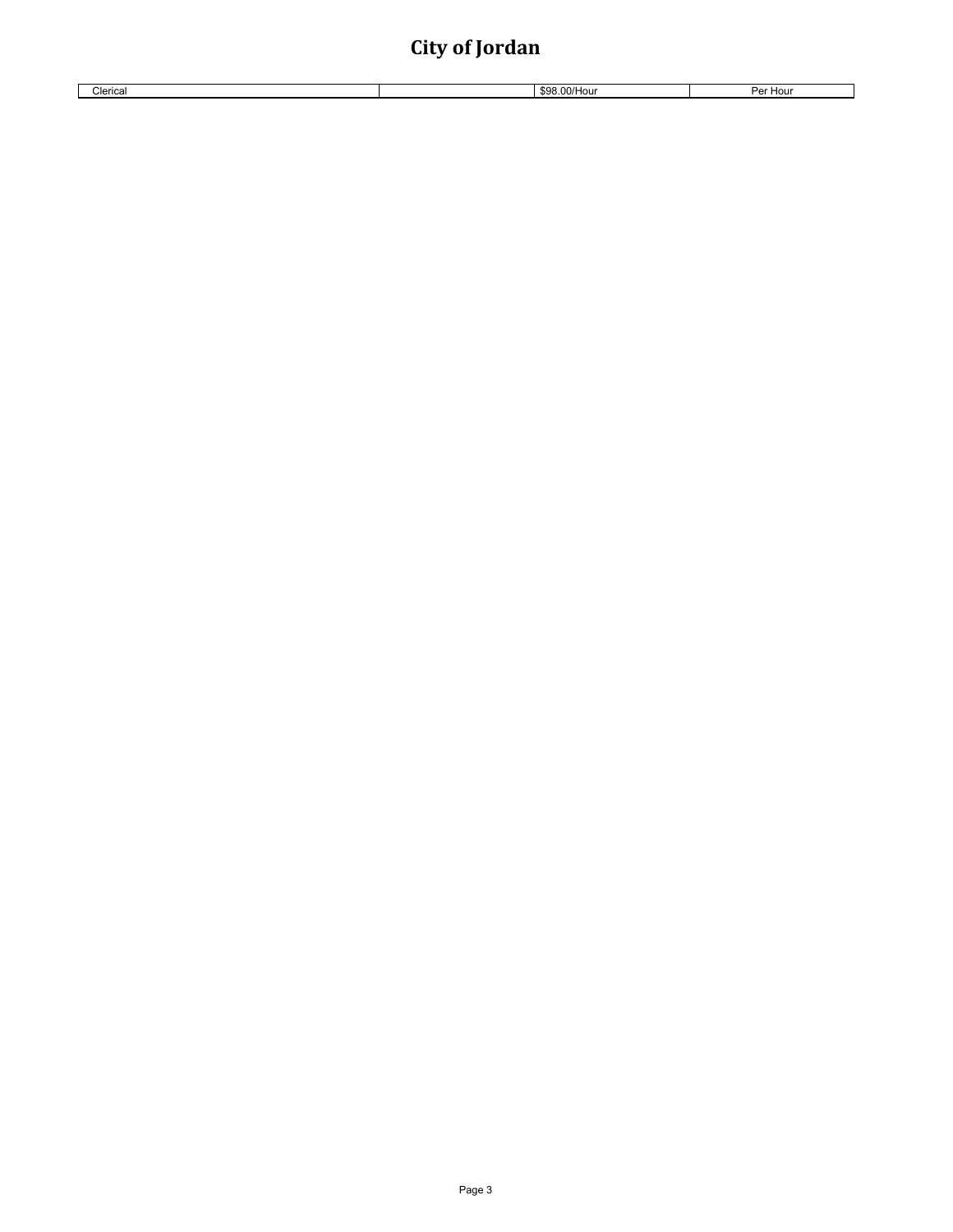| Clerical | $\mathcal{L}_{\mathcal{L}}$<br>3.00/Hou<br>99 Y.H | ⊃or'<br>Hour |
|----------|---------------------------------------------------|--------------|
|          |                                                   |              |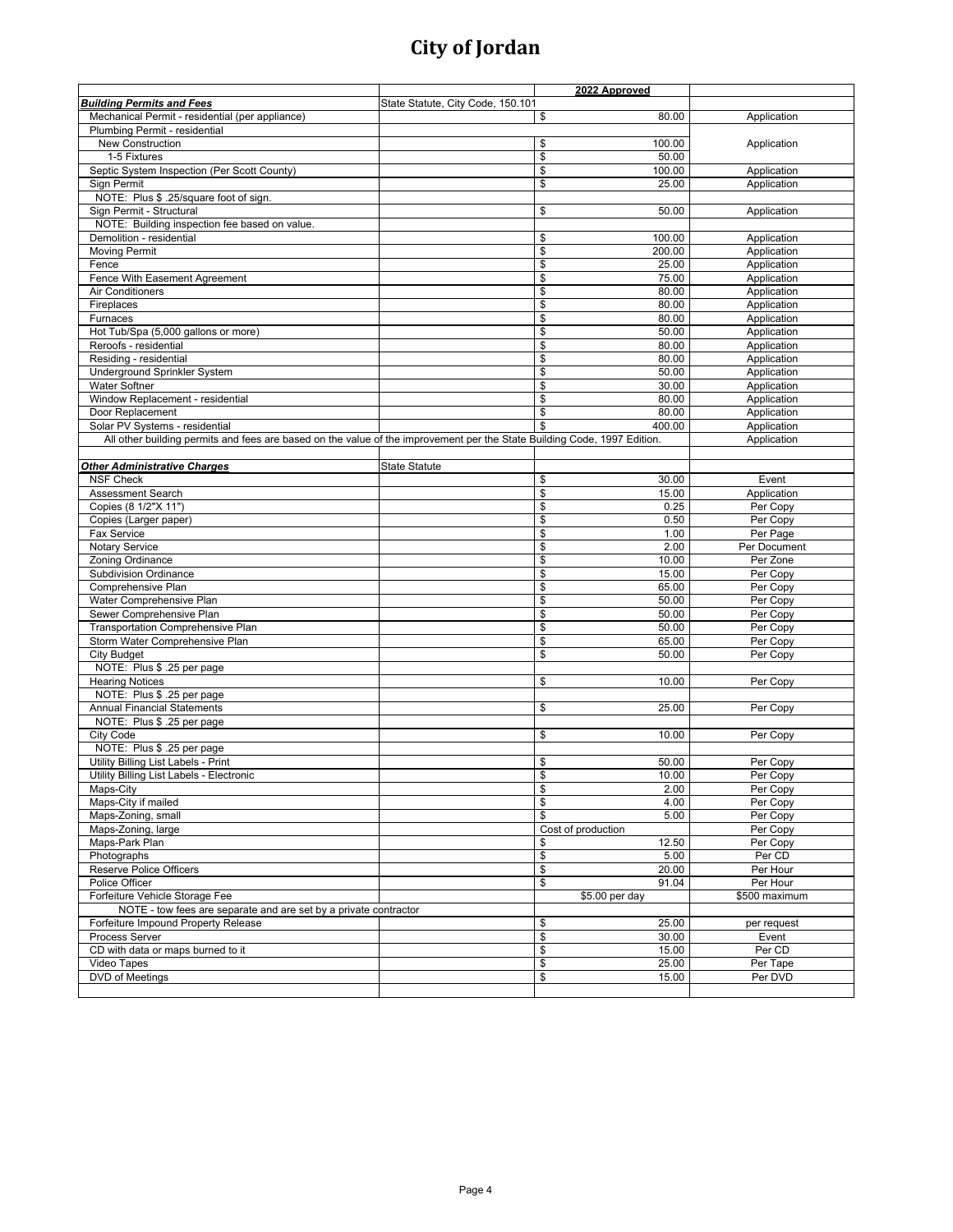|                                                                                                                          |                                   | 2022 Approved                     |               |
|--------------------------------------------------------------------------------------------------------------------------|-----------------------------------|-----------------------------------|---------------|
| <b>Building Permits and Fees</b>                                                                                         | State Statute, City Code, 150.101 |                                   |               |
| Mechanical Permit - residential (per appliance)                                                                          |                                   | \$<br>80.00                       | Application   |
| Plumbing Permit - residential                                                                                            |                                   |                                   |               |
| New Construction                                                                                                         |                                   | \$<br>100.00                      | Application   |
| 1-5 Fixtures                                                                                                             |                                   | 50.00                             |               |
|                                                                                                                          |                                   | \$                                |               |
| Septic System Inspection (Per Scott County)                                                                              |                                   | \$<br>100.00                      | Application   |
| Sign Permit                                                                                                              |                                   | \$<br>25.00                       | Application   |
| NOTE: Plus \$ .25/square foot of sign.                                                                                   |                                   |                                   |               |
| Sign Permit - Structural                                                                                                 |                                   | \$<br>50.00                       | Application   |
| NOTE: Building inspection fee based on value.                                                                            |                                   |                                   |               |
| Demolition - residential                                                                                                 |                                   | \$<br>100.00                      | Application   |
| <b>Moving Permit</b>                                                                                                     |                                   | \$<br>200.00                      | Application   |
| Fence                                                                                                                    |                                   | \$<br>25.00                       | Application   |
| Fence With Easement Agreement                                                                                            |                                   | \$<br>75.00                       | Application   |
| <b>Air Conditioners</b>                                                                                                  |                                   | $\overline{\mathcal{S}}$<br>80.00 | Application   |
| Fireplaces                                                                                                               |                                   | \$<br>80.00                       | Application   |
|                                                                                                                          |                                   |                                   |               |
| Furnaces                                                                                                                 |                                   | \$<br>80.00                       | Application   |
| Hot Tub/Spa (5,000 gallons or more)                                                                                      |                                   | \$<br>50.00                       | Application   |
| Reroofs - residential                                                                                                    |                                   | \$<br>80.00                       | Application   |
| Residing - residential                                                                                                   |                                   | \$<br>80.00                       | Application   |
| Underground Sprinkler System                                                                                             |                                   | \$<br>50.00                       | Application   |
| <b>Water Softner</b>                                                                                                     |                                   | \$<br>30.00                       | Application   |
| Window Replacement - residential                                                                                         |                                   | \$<br>80.00                       | Application   |
| Door Replacement                                                                                                         |                                   | \$<br>80.00                       | Application   |
| Solar PV Systems - residential                                                                                           |                                   | \$<br>400.00                      | Application   |
| All other building permits and fees are based on the value of the improvement per the State Building Code, 1997 Edition. |                                   |                                   | Application   |
|                                                                                                                          |                                   |                                   |               |
|                                                                                                                          |                                   |                                   |               |
| <b>Other Administrative Charges</b>                                                                                      | <b>State Statute</b>              |                                   |               |
| <b>NSF Check</b>                                                                                                         |                                   | \$<br>30.00                       | Event         |
| Assessment Search                                                                                                        |                                   | \$<br>15.00                       | Application   |
| Copies (8 1/2"X 11")                                                                                                     |                                   | \$<br>0.25                        | Per Copy      |
| Copies (Larger paper)                                                                                                    |                                   | \$<br>0.50                        | Per Copy      |
| Fax Service                                                                                                              |                                   | \$<br>1.00                        | Per Page      |
| <b>Notary Service</b>                                                                                                    |                                   | \$<br>2.00                        | Per Document  |
| Zoning Ordinance                                                                                                         |                                   | \$<br>10.00                       | Per Zone      |
| <b>Subdivision Ordinance</b>                                                                                             |                                   | \$<br>15.00                       | Per Copy      |
| Comprehensive Plan                                                                                                       |                                   | \$<br>65.00                       | Per Copy      |
| Water Comprehensive Plan                                                                                                 |                                   | \$                                | Per Copy      |
|                                                                                                                          |                                   | 50.00                             |               |
| Sewer Comprehensive Plan                                                                                                 |                                   | \$<br>50.00                       | Per Copy      |
| Transportation Comprehensive Plan                                                                                        |                                   | \$<br>50.00                       | Per Copy      |
| Storm Water Comprehensive Plan                                                                                           |                                   | $\frac{1}{2}$<br>65.00            | Per Copy      |
| <b>City Budget</b>                                                                                                       |                                   | \$<br>50.00                       | Per Copy      |
| NOTE: Plus \$ .25 per page                                                                                               |                                   |                                   |               |
| <b>Hearing Notices</b>                                                                                                   |                                   | \$<br>10.00                       | Per Copy      |
| NOTE: Plus \$ .25 per page                                                                                               |                                   |                                   |               |
| <b>Annual Financial Statements</b>                                                                                       |                                   | \$<br>25.00                       | Per Copy      |
| NOTE: Plus \$ .25 per page                                                                                               |                                   |                                   |               |
| City Code                                                                                                                |                                   | \$<br>10.00                       | Per Copy      |
| NOTE: Plus \$ .25 per page                                                                                               |                                   |                                   |               |
| Utility Billing List Labels - Print                                                                                      |                                   | \$<br>50.00                       | Per Copy      |
|                                                                                                                          |                                   |                                   |               |
| Utility Billing List Labels - Electronic                                                                                 |                                   | \$<br>10.00                       | Per Copy      |
| Maps-City                                                                                                                |                                   | \$<br>2.00                        | Per Copy      |
| Maps-City if mailed                                                                                                      |                                   | $\sqrt[6]{\frac{2}{5}}$<br>4.00   | Per Copy      |
| Maps-Zoning, small                                                                                                       |                                   | \$<br>5.00                        | Per Copy      |
| Maps-Zoning, large                                                                                                       |                                   | Cost of production                | Per Copy      |
| Maps-Park Plan                                                                                                           |                                   | \$<br>12.50                       | Per Copy      |
| Photographs                                                                                                              |                                   | $\boldsymbol{\theta}$<br>5.00     | Per CD        |
| <b>Reserve Police Officers</b>                                                                                           |                                   | \$<br>20.00                       | Per Hour      |
| Police Officer                                                                                                           |                                   | \$<br>91.04                       | Per Hour      |
| Forfeiture Vehicle Storage Fee                                                                                           |                                   | $$5.00$ per day                   | \$500 maximum |
| NOTE - tow fees are separate and are set by a private contractor                                                         |                                   |                                   |               |
| Forfeiture Impound Property Release                                                                                      |                                   | \$<br>25.00                       |               |
| <b>Process Server</b>                                                                                                    |                                   |                                   | per request   |
|                                                                                                                          |                                   | \$<br>30.00                       | Event         |
| CD with data or maps burned to it                                                                                        |                                   | $\pmb{\$}$<br>15.00               | Per CD        |
| Video Tapes                                                                                                              |                                   | \$<br>25.00                       | Per Tape      |
| DVD of Meetings                                                                                                          |                                   | \$<br>15.00                       | Per DVD       |
|                                                                                                                          |                                   |                                   |               |